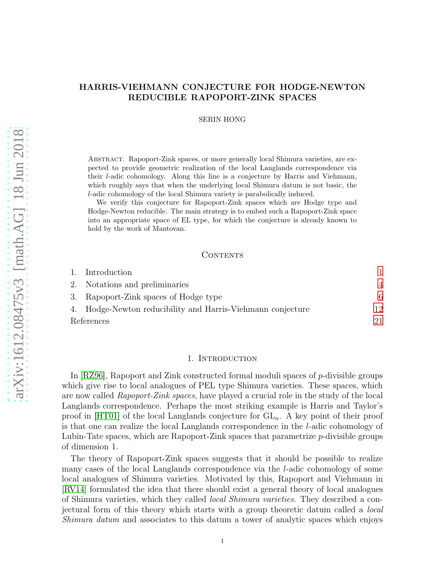# HARRIS-VIEHMANN CONJECTURE FOR HODGE-NEWTON REDUCIBLE RAPOPORT-ZINK SPACES

SERIN HONG

Abstract. Rapoport-Zink spaces, or more generally local Shimura varieties, are expected to provide geometric realization of the local Langlands correspondence via their l-adic cohomology. Along this line is a conjecture by Harris and Viehmann, which roughly says that when the underlying local Shimura datum is not basic, the l-adic cohomology of the local Shimura variety is parabolically induced.

We verify this conjecture for Rapoport-Zink spaces which are Hodge type and Hodge-Newton reducible. The main strategy is to embed such a Rapoport-Zink space into an appropriate space of EL type, for which the conjecture is already known to hold by the work of Mantovan.

## CONTENTS

|            | 1. Introduction                                             |    |
|------------|-------------------------------------------------------------|----|
|            | 2. Notations and preliminaries                              |    |
|            | 3. Rapoport-Zink spaces of Hodge type                       | 6  |
|            | 4. Hodge-Newton reducibility and Harris-Viehmann conjecture | 12 |
| References |                                                             | 21 |

## 1. Introduction

<span id="page-0-0"></span>In [\[RZ96\]](#page-21-0), Rapoport and Zink constructed formal moduli spaces of p-divisible groups which give rise to local analogues of PEL type Shimura varieties. These spaces, which are now called Rapoport-Zink spaces, have played a crucial role in the study of the local Langlands correspondence. Perhaps the most striking example is Harris and Taylor's proof in [\[HT01\]](#page-20-1) of the local Langlands conjecture for  $GL_n$ . A key point of their proof is that one can realize the local Langlands correspondence in the l-adic cohomology of Lubin-Tate spaces, which are Rapoport-Zink spaces that parametrize p-divisible groups of dimension 1.

The theory of Rapoport-Zink spaces suggests that it should be possible to realize many cases of the local Langlands correspondence via the l-adic cohomology of some local analogues of Shimura varieties. Motivated by this, Rapoport and Viehmann in [\[RV14\]](#page-21-1) formulated the idea that there should exist a general theory of local analogues of Shimura varieties, which they called local Shimura varieties. They described a conjectural form of this theory which starts with a group theoretic datum called a local Shimura datum and associates to this datum a tower of analytic spaces which enjoys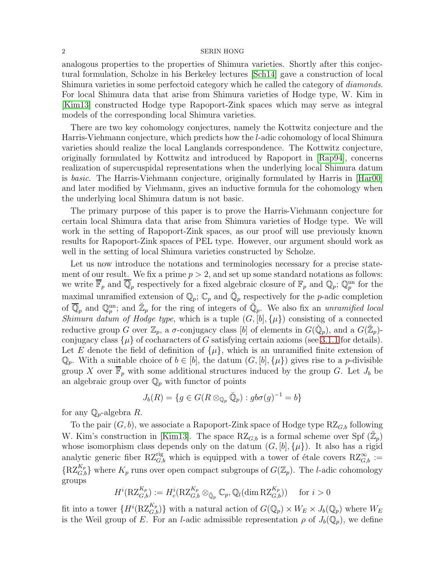analogous properties to the properties of Shimura varieties. Shortly after this conjectural formulation, Scholze in his Berkeley lectures [\[Sch14\]](#page-21-2) gave a construction of local Shimura varieties in some perfectoid category which he called the category of *diamonds*. For local Shimura data that arise from Shimura varieties of Hodge type, W. Kim in [\[Kim13\]](#page-20-2) constructed Hodge type Rapoport-Zink spaces which may serve as integral models of the corresponding local Shimura varieties.

There are two key cohomology conjectures, namely the Kottwitz conjecture and the Harris-Viehmann conjecture, which predicts how the l-adic cohomology of local Shimura varieties should realize the local Langlands correspondence. The Kottwitz conjecture, originally formulated by Kottwitz and introduced by Rapoport in [\[Rap94\]](#page-21-3), concerns realization of supercuspidal representations when the underlying local Shimura datum is basic. The Harris-Viehmann conjecture, originally formulated by Harris in [\[Har00\]](#page-20-3) and later modified by Viehmann, gives an inductive formula for the cohomology when the underlying local Shimura datum is not basic.

The primary purpose of this paper is to prove the Harris-Viehmann conjecture for certain local Shimura data that arise from Shimura varieties of Hodge type. We will work in the setting of Rapoport-Zink spaces, as our proof will use previously known results for Rapoport-Zink spaces of PEL type. However, our argument should work as well in the setting of local Shimura varieties constructed by Scholze.

Let us now introduce the notations and terminologies necessary for a precise statement of our result. We fix a prime  $p > 2$ , and set up some standard notations as follows: we write  $\overline{\mathbb{F}}_p$  and  $\overline{\mathbb{Q}}_p$  respectively for a fixed algebraic closure of  $\mathbb{F}_p$  and  $\mathbb{Q}_p$ ;  $\mathbb{Q}_p^{\text{un}}$  for the maximal unramified extension of  $\mathbb{Q}_p$ ;  $\mathbb{C}_p$  and  $\mathbb{Q}_p$  respectively for the *p*-adic completion of  $\overline{\mathbb{Q}}_p$  and  $\mathbb{Q}_p^{\text{un}}$ ; and  $\mathbb{Z}_p$  for the ring of integers of  $\mathbb{Q}_p$ . We also fix an unramified local Shimura datum of Hodge type, which is a tuple  $(G, [b], {\mu})$  consisting of a connected reductive group G over  $\mathbb{Z}_p$ , a  $\sigma$ -conjugacy class [b] of elements in  $G(\check{\mathbb{Q}}_p)$ , and a  $G(\check{\mathbb{Z}}_p)$ conjugacy class  $\{\mu\}$  of cocharacters of G satisfying certain axioms (see [3.1.1](#page-5-1) for details). Let E denote the field of definition of  $\{\mu\}$ , which is an unramified finite extension of  $\mathbb{Q}_p$ . With a suitable choice of  $b \in [b]$ , the datum  $(G, [b], {\mu})$  gives rise to a *p*-divisible group X over  $\mathbb{F}_p$  with some additional structures induced by the group G. Let  $J_b$  be an algebraic group over  $\mathbb{Q}_p$  with functor of points

$$
J_b(R) = \{ g \in G(R \otimes_{\mathbb{Q}_p} \breve{\mathbb{Q}}_p) : g b \sigma(g)^{-1} = b \}
$$

for any  $\mathbb{Q}_p$ -algebra R.

To the pair  $(G, b)$ , we associate a Rapoport-Zink space of Hodge type  $RZ_{G,b}$  following W. Kim's construction in [\[Kim13\]](#page-20-2). The space  $RZ_{G,b}$  is a formal scheme over Spf  $(\mathbb{Z}_p)$ whose isomorphism class depends only on the datum  $(G, [b], {\mu})$ . It also has a rigid analytic generic fiber  $RZ_{G,b}^{rig}$  which is equipped with a tower of étale covers  $RZ_{G,b}^{\infty}$  :=  $\{RZ_{G,b}^{K_p}\}\$  where  $K_p$  runs over open compact subgroups of  $G(\mathbb{Z}_p)$ . The *l*-adic cohomology groups

$$
H^i(\mathrm{RZ}_{G,b}^{K_p}) := H^i_c(\mathrm{RZ}_{G,b}^{K_p} \otimes_{\check{\mathbb{Q}}_p} \mathbb{C}_p, \mathbb{Q}_l(\dim \mathrm{RZ}_{G,b}^{K_p})) \quad \text{ for } i > 0
$$

fit into a tower  $\{H^i(\mathrm{RZ}_{G,b}^{K_p})\}$  with a natural action of  $G(\mathbb{Q}_p)\times W_E\times J_b(\mathbb{Q}_p)$  where  $W_E$ is the Weil group of E. For an *l*-adic admissible representation  $\rho$  of  $J_b(\mathbb{Q}_p)$ , we define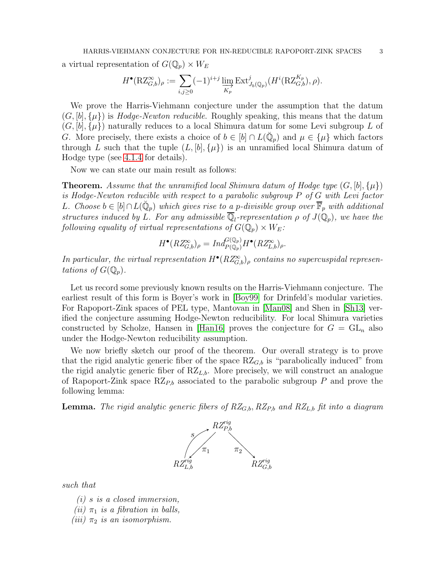a virtual representation of  $G(\mathbb{Q}_p) \times W_E$ 

$$
H^{\bullet}(\mathrm{RZ}_{G,b}^{\infty})_{\rho} := \sum_{i,j\geq 0} (-1)^{i+j} \varinjlim_{K_p} \mathrm{Ext}^j_{J_b(\mathbb{Q}_p)}(H^i(\mathrm{RZ}_{G,b}^{K_p}), \rho).
$$

We prove the Harris-Viehmann conjecture under the assumption that the datum  $(G, [b], {\mu})$  is Hodge-Newton reducible. Roughly speaking, this means that the datum  $(G, [b], {\mu})$  naturally reduces to a local Shimura datum for some Levi subgroup L of G. More precisely, there exists a choice of  $b \in [b] \cap L(\check{Q}_p)$  and  $\mu \in {\{\mu\}}$  which factors through L such that the tuple  $(L, [b], {\mu})$  is an unramified local Shimura datum of Hodge type (see [4.1.4](#page-12-0) for details).

Now we can state our main result as follows:

**Theorem.** Assume that the unramified local Shimura datum of Hodge type  $(G, [b], \{\mu\})$ is Hodge-Newton reducible with respect to a parabolic subgroup P of G with Levi factor L. Choose  $b \in [b] \cap L(\breve{\mathbb{Q}}_p)$  which gives rise to a p-divisible group over  $\overline{\mathbb{F}}_p$  with additional structures induced by L. For any admissible  $\overline{\mathbb{Q}}_l$ -representation  $\rho$  of  $J(\mathbb{Q}_p)$ , we have the following equality of virtual representations of  $G(\mathbb{Q}_p) \times W_E$ :

$$
H^{\bullet}(RZ_{G,b}^{\infty})_{\rho} = Ind_{P(\mathbb{Q}_p)}^{G(\mathbb{Q}_p)} H^{\bullet}(RZ_{L,b}^{\infty})_{\rho}.
$$

In particular, the virtual representation  $H^{\bullet}(RZ_{G,b}^{\infty})_{\rho}$  contains no supercuspidal representations of  $G(\mathbb{Q}_p)$ .

Let us record some previously known results on the Harris-Viehmann conjecture. The earliest result of this form is Boyer's work in [\[Boy99\]](#page-20-4) for Drinfeld's modular varieties. For Rapoport-Zink spaces of PEL type, Mantovan in [\[Man08\]](#page-21-4) and Shen in [\[Sh13\]](#page-21-5) verified the conjecture assuming Hodge-Newton reducibility. For local Shimura varieties constructed by Scholze, Hansen in [\[Han16\]](#page-20-5) proves the conjecture for  $G = GL_n$  also under the Hodge-Newton reducibility assumption.

We now briefly sketch our proof of the theorem. Our overall strategy is to prove that the rigid analytic generic fiber of the space  $RZ_{G,b}$  is "parabolically induced" from the rigid analytic generic fiber of  $RZ_{L,b}$ . More precisely, we will construct an analogue of Rapoport-Zink space  $RZ_{P,b}$  associated to the parabolic subgroup P and prove the following lemma:

**Lemma.** The rigid analytic generic fibers of  $RZ_{G,b}$ ,  $RZ_{P,b}$  and  $RZ_{L,b}$  fit into a diagram



such that

- (i) s is a closed immersion,
- (ii)  $\pi_1$  is a fibration in balls,
- (iii)  $\pi_2$  is an isomorphism.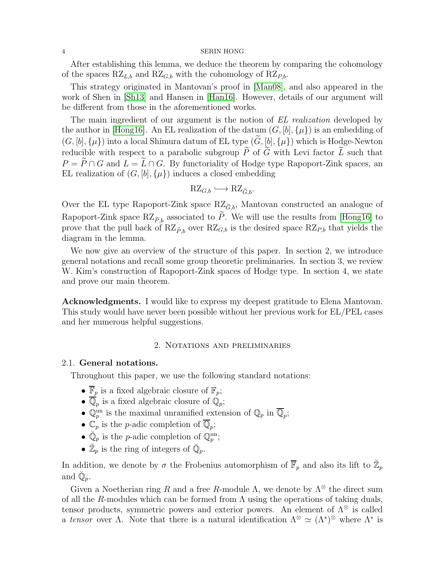After establishing this lemma, we deduce the theorem by comparing the cohomology of the spaces  $RZ_{L,b}$  and  $RZ_{G,b}$  with the cohomology of  $RZ_{P,b}$ .

This strategy originated in Mantovan's proof in [\[Man08\]](#page-21-4), and also appeared in the work of Shen in [\[Sh13\]](#page-21-5) and Hansen in [\[Han16\]](#page-20-5). However, details of our argument will be different from those in the aforementioned works.

The main ingredient of our argument is the notion of EL realization developed by the author in [\[Hong16\]](#page-20-6). An EL realization of the datum  $(G, [b], {\mu})$  is an embedding of  $(G, [b], {\mu}$ ) into a local Shimura datum of EL type  $(\widetilde{G}, [b], {\mu})$  which is Hodge-Newton reducible with respect to a parabolic subgroup  $\tilde{P}$  of  $\tilde{G}$  with Levi factor  $\tilde{L}$  such that  $P = \widetilde{P} \cap G$  and  $L = \widetilde{L} \cap G$ . By functoriality of Hodge type Rapoport-Zink spaces, an EL realization of  $(G, [b], {\mu})$  induces a closed embedding

$$
\mathrm{RZ}_{G,b} \longleftrightarrow \mathrm{RZ}_{\widetilde{G},b}.
$$

Over the EL type Rapoport-Zink space  $RZ_{\tilde{G},b}$ , Mantovan constructed an analogue of Rapoport-Zink space  $RZ_{\tilde{P},b}$  associated to  $\tilde{P}$ . We will use the results from [\[Hong16\]](#page-20-6) to prove that the pull back of  $RZ_{\tilde{P},b}$  over  $RZ_{G,b}$  is the desired space  $RZ_{P,b}$  that yields the diagram in the lemma.

We now give an overview of the structure of this paper. In section 2, we introduce general notations and recall some group theoretic preliminaries. In section 3, we review W. Kim's construction of Rapoport-Zink spaces of Hodge type. In section 4, we state and prove our main theorem.

Acknowledgments. I would like to express my deepest gratitude to Elena Mantovan. This study would have never been possible without her previous work for EL/PEL cases and her numerous helpful suggestions.

## 2. Notations and preliminaries

## <span id="page-3-0"></span>2.1. General notations.

Throughout this paper, we use the following standard notations:

- $\bullet~\overline{\mathbb{F}}_p$  is a fixed algebraic closure of  $\mathbb{F}_p;$
- $\overline{\mathbb{Q}}_p$  is a fixed algebraic closure of  $\mathbb{Q}_p$ ;
- $\mathbb{Q}_p^{\text{un}}$  is the maximal unramified extension of  $\mathbb{Q}_p$  in  $\overline{\mathbb{Q}}_p$ ;
- $\mathbb{C}_p$  is the *p*-adic completion of  $\overline{\mathbb{Q}}_p$ ;
- $\check{\mathbb{Q}}_p$  is the *p*-adic completion of  $\mathbb{Q}_p^{\text{un}}$ ;
- $\mathbb{Z}_p$  is the ring of integers of  $\mathbb{Q}_p$ .

In addition, we denote by  $\sigma$  the Frobenius automorphism of  $\overline{\mathbb{F}}_p$  and also its lift to  $\mathbb{Z}_p$ and  $\check{\mathbb{Q}}_p$ .

Given a Noetherian ring R and a free R-module  $\Lambda$ , we denote by  $\Lambda^{\otimes}$  the direct sum of all the R-modules which can be formed from  $\Lambda$  using the operations of taking duals, tensor products, symmetric powers and exterior powers. An element of  $\Lambda^{\otimes}$  is called a tensor over  $\Lambda$ . Note that there is a natural identification  $\Lambda^{\otimes} \simeq (\Lambda^*)^{\otimes}$  where  $\Lambda^*$  is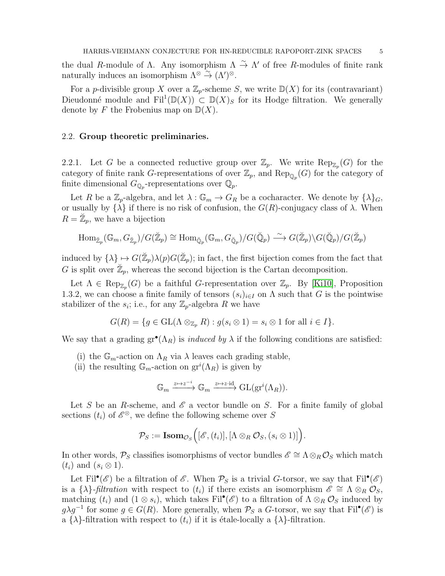the dual R-module of  $\Lambda$ . Any isomorphism  $\Lambda \stackrel{\sim}{\to} \Lambda'$  of free R-modules of finite rank naturally induces an isomorphism  $\Lambda^{\otimes} \stackrel{\sim}{\rightarrow} (\Lambda')^{\otimes}$ .

For a p-divisible group X over a  $\mathbb{Z}_p$ -scheme S, we write  $\mathbb{D}(X)$  for its (contravariant) Dieudonné module and  $Fil^1(\mathbb{D}(X)) \subset \mathbb{D}(X)$  for its Hodge filtration. We generally denote by F the Frobenius map on  $\mathbb{D}(X)$ .

## <span id="page-4-0"></span>2.2. Group theoretic preliminaries.

2.2.1. Let G be a connected reductive group over  $\mathbb{Z}_p$ . We write  $\text{Rep}_{\mathbb{Z}_p}(G)$  for the category of finite rank G-representations of over  $\mathbb{Z}_p$ , and  $\text{Rep}_{\mathbb{Q}_p}(G)$  for the category of finite dimensional  $G_{\mathbb{Q}_p}$ -representations over  $\mathbb{Q}_p$ .

Let R be a  $\mathbb{Z}_p$ -algebra, and let  $\lambda : \mathbb{G}_m \to G_R$  be a cocharacter. We denote by  $\{\lambda\}_G$ , or usually by  $\{\lambda\}$  if there is no risk of confusion, the  $G(R)$ -conjugacy class of  $\lambda$ . When  $R = \mathbb{Z}_p$ , we have a bijection

$$
\mathrm{Hom}_{\breve{\mathbb{Z}}_p}(\mathbb{G}_m, G_{\breve{\mathbb{Z}}_p})/G(\breve{\mathbb{Z}}_p) \cong \mathrm{Hom}_{\breve{\mathbb{Q}}_p}(\mathbb{G}_m, G_{\breve{\mathbb{Q}}_p})/G(\breve{\mathbb{Q}}_p) \stackrel{\sim}{\longrightarrow} G(\breve{\mathbb{Z}}_p)\backslash G(\breve{\mathbb{Q}}_p)/G(\breve{\mathbb{Z}}_p)
$$

induced by  $\{\lambda\} \mapsto G(\mathbb{Z}_p) \lambda(p) G(\mathbb{Z}_p)$ ; in fact, the first bijection comes from the fact that G is split over  $\mathbb{Z}_p$ , whereas the second bijection is the Cartan decomposition.

Let  $\Lambda \in \text{Rep}_{\mathbb{Z}_p}(G)$  be a faithful G-representation over  $\mathbb{Z}_p$ . By [\[Ki10\]](#page-20-7), Proposition 1.3.2, we can choose a finite family of tensors  $(s_i)_{i\in I}$  on  $\Lambda$  such that G is the pointwise stabilizer of the  $s_i$ ; i.e., for any  $\mathbb{Z}_p$ -algebra R we have

$$
G(R) = \{ g \in GL(\Lambda \otimes_{\mathbb{Z}_p} R) : g(s_i \otimes 1) = s_i \otimes 1 \text{ for all } i \in I \}.
$$

We say that a grading  $gr^{\bullet}(\Lambda_R)$  is *induced by*  $\lambda$  if the following conditions are satisfied:

- (i) the  $\mathbb{G}_m$ -action on  $\Lambda_R$  via  $\lambda$  leaves each grading stable,
- (ii) the resulting  $\mathbb{G}_m$ -action on  $\mathrm{gr}^i(\Lambda_R)$  is given by

$$
\mathbb{G}_m \xrightarrow{z \mapsto z^{-i}} \mathbb{G}_m \xrightarrow{z \mapsto z \cdot \mathrm{id}} \mathrm{GL}(\mathrm{gr}^i(\Lambda_R)).
$$

Let S be an R-scheme, and  $\mathscr E$  a vector bundle on S. For a finite family of global sections  $(t_i)$  of  $\mathscr{E}^{\otimes}$ , we define the following scheme over S

$$
\mathcal{P}_S := \textbf{Isom}_{\mathcal{O}_S}\Big([\mathscr{E}, (t_i)], [\Lambda \otimes_R \mathcal{O}_S, (s_i \otimes 1)]\Big).
$$

In other words,  $\mathcal{P}_S$  classifies isomorphisms of vector bundles  $\mathscr{E} \cong \Lambda \otimes_R \mathcal{O}_S$  which match  $(t_i)$  and  $(s_i \otimes 1)$ .

Let Fil<sup>•</sup>( $\mathscr E$ ) be a filtration of  $\mathscr E$ . When  $\mathcal P_S$  is a trivial G-torsor, we say that Fil<sup>•</sup>( $\mathscr E$ ) is a  $\{\lambda\}$ -*filtration* with respect to  $(t_i)$  if there exists an isomorphism  $\mathscr{E} \cong \Lambda \otimes_R \mathcal{O}_S$ , matching  $(t_i)$  and  $(1 \otimes s_i)$ , which takes Fil<sup>•</sup>( $\mathscr{E})$  to a filtration of  $\Lambda \otimes_R \mathcal{O}_S$  induced by  $g\lambda g^{-1}$  for some  $g \in G(R)$ . More generally, when  $P_S$  a G-torsor, we say that Fil<sup>•</sup>( $\mathscr{E}$ ) is a  $\{\lambda\}$ -filtration with respect to  $(t_i)$  if it is étale-locally a  $\{\lambda\}$ -filtration.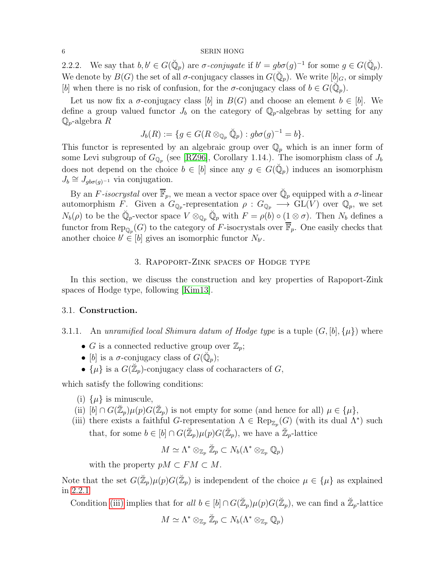<span id="page-5-4"></span>2.2.2. We say that  $b, b' \in G(\check{Q}_p)$  are  $\sigma$ -conjugate if  $b' = g b \sigma(g)^{-1}$  for some  $g \in G(\check{Q}_p)$ . We denote by  $B(G)$  the set of all  $\sigma$ -conjugacy classes in  $G(\check{\mathbb{Q}}_p)$ . We write  $[b]_G$ , or simply [b] when there is no risk of confusion, for the  $\sigma$ -conjugacy class of  $b \in G(\check{Q}_p)$ .

Let us now fix a  $\sigma$ -conjugacy class [b] in  $B(G)$  and choose an element  $b \in [b]$ . We define a group valued functor  $J_b$  on the category of  $\mathbb{Q}_p$ -algebras by setting for any  $\mathbb{Q}_p$ -algebra  $R$ 

$$
J_b(R) := \{ g \in G(R \otimes_{\mathbb{Q}_p} \check{\mathbb{Q}}_p) : g b \sigma(g)^{-1} = b \}.
$$

This functor is represented by an algebraic group over  $\mathbb{Q}_p$  which is an inner form of some Levi subgroup of  $G_{\mathbb{Q}_p}$  (see [\[RZ96\]](#page-21-0), Corollary 1.14.). The isomorphism class of  $J_b$ does not depend on the choice  $b \in [b]$  since any  $g \in G(\check{Q}_p)$  induces an isomorphism  $J_b \cong J_{gb\sigma(g)^{-1}}$  via conjugation.

By an F-isocrystal over  $\overline{\mathbb{F}}_p$ , we mean a vector space over  $\mathbb{Q}_p$  equipped with a  $\sigma$ -linear automorphism F. Given a  $G_{\mathbb{Q}_p}$ -representation  $\rho: G_{\mathbb{Q}_p} \longrightarrow GL(V)$  over  $\mathbb{Q}_p$ , we set  $N_b(\rho)$  to be the  $\check{\mathbb{Q}}_p$ -vector space  $V \otimes_{\mathbb{Q}_p} \check{\mathbb{Q}}_p$  with  $F = \rho(b) \circ (1 \otimes \sigma)$ . Then  $N_b$  defines a functor from  $\text{Rep}_{\mathbb{Q}_p}(G)$  to the category of F-isocrystals over  $\overline{\mathbb{F}}_p$ . One easily checks that another choice  $b' \in [b]$  gives an isomorphic functor  $N_{b'}$ .

# 3. Rapoport-Zink spaces of Hodge type

<span id="page-5-0"></span>In this section, we discuss the construction and key properties of Rapoport-Zink spaces of Hodge type, following [\[Kim13\]](#page-20-2).

## <span id="page-5-1"></span>3.1. Construction.

- 3.1.1. An unramified local Shimura datum of Hodge type is a tuple  $(G, [b], {\mu})$  where
	- G is a connected reductive group over  $\mathbb{Z}_p$ ;
	- [b] is a  $\sigma$ -conjugacy class of  $G(\check{\mathbb{Q}}_p)$ ;
	- $\{\mu\}$  is a  $G(\mathbb{Z}_p)$ -conjugacy class of cocharacters of G,

<span id="page-5-5"></span>which satisfy the following conditions:

- (i)  $\{\mu\}$  is minuscule,
- <span id="page-5-3"></span><span id="page-5-2"></span>(ii)  $[b] \cap G(\mathbb{Z}_p)\mu(p)G(\mathbb{Z}_p)$  is not empty for some (and hence for all)  $\mu \in {\{\mu\}}$ ,
- (iii) there exists a faithful G-representation  $\Lambda \in \text{Rep}_{\mathbb{Z}_p}(G)$  (with its dual  $\Lambda^*$ ) such that, for some  $b \in [b] \cap G(\mathbb{Z}_p) \mu(p) G(\mathbb{Z}_p)$ , we have a  $\mathbb{Z}_p$ -lattice

$$
M\simeq \Lambda^*\otimes_{\mathbb{Z}_p}\breve{\mathbb{Z}}_p\subset N_b(\Lambda^*\otimes_{\mathbb{Z}_p}\mathbb{Q}_p)
$$

with the property  $pM \subset FM \subset M$ .

Note that the set  $G(\mathbb{Z}_p)\mu(p)G(\mathbb{Z}_p)$  is independent of the choice  $\mu \in {\{\mu\}}$  as explained in [2.2.1](#page-4-0)

Condition [\(iii\)](#page-5-2) implies that for all  $b \in [b] \cap G(\mathbb{Z}_p) \mu(p) G(\mathbb{Z}_p)$ , we can find a  $\mathbb{Z}_p$ -lattice

$$
M \simeq \Lambda^* \otimes_{\mathbb{Z}_p} \check{\mathbb{Z}}_p \subset N_b(\Lambda^* \otimes_{\mathbb{Z}_p} \mathbb{Q}_p)
$$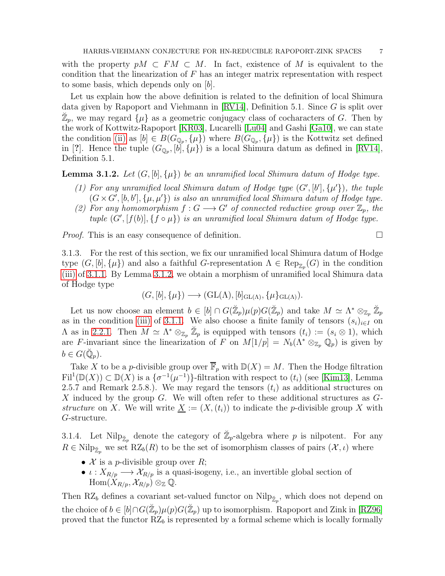with the property  $pM \subset FM \subset M$ . In fact, existence of M is equivalent to the condition that the linearization of  $F$  has an integer matrix representation with respect to some basis, which depends only on [b].

Let us explain how the above definition is related to the definition of local Shimura data given by Rapoport and Viehmann in [\[RV14\]](#page-21-1), Definition 5.1. Since G is split over  $\mathbb{Z}_p$ , we may regard  $\{\mu\}$  as a geometric conjugacy class of cocharacters of G. Then by the work of Kottwitz-Rapoport [\[KR03\]](#page-20-8), Lucarelli [\[Lu04\]](#page-21-6) and Gashi [\[Ga10\]](#page-20-9), we can state the condition [\(ii\)](#page-5-3) as  $[b] \in B(G_{\mathbb{Q}_p}, \{\mu\})$  where  $B(G_{\mathbb{Q}_p}, \{\mu\})$  is the Kottwitz set defined in [?]. Hence the tuple  $(G_{\mathbb{Q}_p}, [b], {\mu})$  is a local Shimura datum as defined in [\[RV14\]](#page-21-1), Definition 5.1.

<span id="page-6-0"></span>**Lemma 3.1.2.** Let  $(G, [b], \{\mu\})$  be an unramified local Shimura datum of Hodge type.

- (1) For any unramified local Shimura datum of Hodge type  $(G', [b'], \{\mu'\})$ , the tuple  $(G \times G', [b, b'], \{\mu, \mu'\})$  is also an unramified local Shimura datum of Hodge type.
- (2) For any homomorphism  $f: G \longrightarrow G'$  of connected reductive group over  $\mathbb{Z}_p$ , the tuple  $(G', [f(b)], \{f \circ \mu\})$  is an unramified local Shimura datum of Hodge type.

<span id="page-6-1"></span>*Proof.* This is an easy consequence of definition.  $\square$ 

3.1.3. For the rest of this section, we fix our unramified local Shimura datum of Hodge type  $(G, [b], {\mu})$  and also a faithful G-representation  $\Lambda \in \text{Rep}_{\mathbb{Z}_p}(G)$  in the condition [\(iii\)](#page-5-2) of [3.1.1.](#page-5-1) By Lemma [3.1.2,](#page-6-0) we obtain a morphism of unramified local Shimura data of Hodge type

$$
(G, [b], \{\mu\}) \longrightarrow (\operatorname{GL}(\Lambda), [b]_{\operatorname{GL}(\Lambda)}, \{\mu\}_{\operatorname{GL}(\Lambda)}).
$$

Let us now choose an element  $b \in [b] \cap G(\mathbb{Z}_p) \mu(p) G(\mathbb{Z}_p)$  and take  $M \simeq \Lambda^* \otimes_{\mathbb{Z}_p} \mathbb{Z}_p$ as in the condition [\(iii\)](#page-5-2) of [3.1.1.](#page-5-1) We also choose a finite family of tensors  $(s_i)_{i\in I}$  on  $\Lambda$  as in [2.2.1.](#page-4-0) Then  $M \simeq \Lambda^* \otimes_{\mathbb{Z}_p} \mathbb{Z}_p$  is equipped with tensors  $(t_i) := (s_i \otimes 1)$ , which are F-invariant since the linearization of F on  $M[1/p] = N_b(\Lambda^* \otimes_{\mathbb{Z}_p} \mathbb{Q}_p)$  is given by  $b\in G(\breve{\mathbb{Q}}_p).$ 

Take X to be a p-divisible group over  $\overline{\mathbb{F}}_p$  with  $\mathbb{D}(X) = M$ . Then the Hodge filtration  $\text{Fil}^1(\mathbb{D}(X)) \subset \mathbb{D}(X)$  is a  $\{\sigma^{-1}(\mu^{-1})\}$ -filtration with respect to  $(t_i)$  (see [\[Kim13\]](#page-20-2), Lemma 2.5.7 and Remark 2.5.8.). We may regard the tensors  $(t_i)$  as additional structures on X induced by the group G. We will often refer to these additional structures as  $G$ structure on X. We will write  $\underline{X} := (X,(t_i))$  to indicate the p-divisible group X with G-structure.

3.1.4. Let Nil $p_{\mathbb{Z}_p}$  denote the category of  $\mathbb{Z}_p$ -algebra where p is nilpotent. For any  $R \in Nilp_{\mathbb{Z}_p}$  we set  $\mathsf{RZ}_b(R)$  to be the set of isomorphism classes of pairs  $(\mathcal{X}, \iota)$  where

- $\mathcal X$  is a *p*-divisible group over  $R$ ;
- $\iota: X_{R/p} \longrightarrow X_{R/p}$  is a quasi-isogeny, i.e., an invertible global section of  $\text{Hom}(X_{R/p}, \mathcal{X}_{R/p}) \otimes_{\mathbb{Z}} \mathbb{Q}.$

Then RZ<sub>b</sub> defines a covariant set-valued functor on Nil $p_{\mathbb{Z}_p}$ , which does not depend on the choice of  $b \in [b] \cap G(\mathbb{Z}_p) \mu(p) G(\mathbb{Z}_p)$  up to isomorphism. Rapoport and Zink in [\[RZ96\]](#page-21-0) proved that the functor  $RZ_b$  is represented by a formal scheme which is locally formally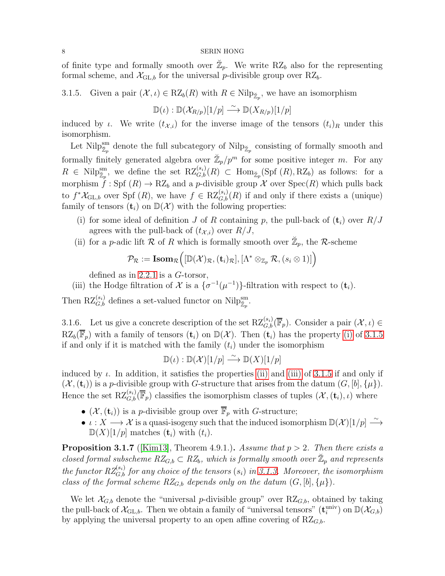of finite type and formally smooth over  $\mathbb{Z}_p$ . We write RZ<sub>b</sub> also for the representing formal scheme, and  $\mathcal{X}_{\text{GL},b}$  for the universal p-divisible group over RZ<sub>b</sub>.

<span id="page-7-1"></span>3.1.5. Given a pair  $(\mathcal{X}, \iota) \in RZ_b(R)$  with  $R \in \text{Nilp}_{\mathbb{Z}_p}$ , we have an isomorphism

$$
\mathbb{D}(\iota): \mathbb{D}(\mathcal{X}_{R/p})[1/p] \stackrel{\sim}{\longrightarrow} \mathbb{D}(X_{R/p})[1/p]
$$

induced by *ι*. We write  $(t_{\mathcal{X},i})$  for the inverse image of the tensors  $(t_i)_R$  under this isomorphism.

Let Nilp $_{\mathbb{Z}_p}^{\text{sm}}$  denote the full subcategory of Nilp $_{\mathbb{Z}_p}$  consisting of formally smooth and formally finitely generated algebra over  $\mathbb{Z}_p/p^m$  for some positive integer m. For any  $R \in \text{Nilp}_{\mathbb{Z}_p}^{\text{sm}}$ , we define the set  $\text{RZ}_{G,b}^{(s_i)}(R) \subset \text{Hom}_{\mathbb{Z}_p}(\text{Spf }(R),\text{RZ}_b)$  as follows: for a morphism  $\hat{f}$ : Spf  $(R) \to RZ_b$  and a p-divisible group X over Spec $(R)$  which pulls back to  $f^*\mathcal{X}_{\text{GL},b}$  over Spf  $(R)$ , we have  $f \in \mathrm{RZ}_{G,b}^{(s_i)}(R)$  if and only if there exists a (unique) family of tensors  $(\mathbf{t}_i)$  on  $\mathbb{D}(\mathcal{X})$  with the following properties:

- <span id="page-7-0"></span>(i) for some ideal of definition J of R containing p, the pull-back of  $(t_i)$  over  $R/J$ agrees with the pull-back of  $(t_{\mathcal{X},i})$  over  $R/J$ ,
- <span id="page-7-2"></span>(ii) for a *p*-adic lift R of R which is formally smooth over  $\mathbb{Z}_p$ , the R-scheme

$$
\mathcal{P}_{\mathcal{R}} := \textbf{Isom}_{\mathcal{R}} \Big( [\mathbb{D}(\mathcal{X})_{\mathcal{R}}, (\mathbf{t}_i)_{\mathcal{R}}], [\Lambda^* \otimes_{\mathbb{Z}_p} \mathcal{R}, (s_i \otimes 1)] \Big)
$$

defined as in [2.2.1](#page-4-0) is a G-torsor,

<span id="page-7-3"></span>(iii) the Hodge filtration of  $\mathcal X$  is a  $\{\sigma^{-1}(\mu^{-1})\}$ -filtration with respect to  $(\mathbf t_i)$ .

<span id="page-7-5"></span>Then  $\mathrm{RZ}_{G,b}^{(s_i)}$  defines a set-valued functor on  $\mathrm{Nilp}_{\mathbb{Z}_p}^{\mathrm{sm}}$ .

3.1.6. Let us give a concrete description of the set  $\mathrm{RZ}_{G,b}^{(s_i)}(\overline{\mathbb{F}}_p)$ . Consider a pair  $(\mathcal{X},\iota) \in$  $RZ_b(\overline{\mathbb{F}}_p)$  with a family of tensors  $(\mathbf{t}_i)$  on  $\mathbb{D}(\mathcal{X})$ . Then  $(\mathbf{t}_i)$  has the property [\(i\)](#page-7-0) of [3.1.5](#page-7-1) if and only if it is matched with the family  $(t_i)$  under the isomorphism

$$
\mathbb{D}(\iota): \mathbb{D}(\mathcal{X})[1/p] \xrightarrow{\sim} \mathbb{D}(X)[1/p]
$$

induced by  $\iota$ . In addition, it satisfies the properties [\(ii\)](#page-7-2) and [\(iii\)](#page-7-3) of [3.1.5](#page-7-1) if and only if  $(\mathcal{X}, (\mathbf{t}_i))$  is a p-divisible group with G-structure that arises from the datum  $(G, [b], {\mu})$ . Hence the set  $RZ_{G,b}^{(s_i)}(\overline{\mathbb{F}}_p)$  classifies the isomorphism classes of tuples  $(\mathcal{X}, (\mathbf{t}_i), \iota)$  where

- $(\mathcal{X}, (\mathbf{t}_i))$  is a p-divisible group over  $\overline{\mathbb{F}}_p$  with G-structure;
- $\iota: X \longrightarrow \mathcal{X}$  is a quasi-isogeny such that the induced isomorphism  $\mathbb{D}(\mathcal{X})[1/p] \stackrel{\sim}{\longrightarrow}$  $\mathbb{D}(X)[1/p]$  matches  $(\mathbf{t}_i)$  with  $(t_i)$ .

<span id="page-7-4"></span>**Proposition 3.1.7** ([\[Kim13\]](#page-20-2), Theorem 4.9.1.). Assume that  $p > 2$ . Then there exists a closed formal subscheme  $RZ_{G,b} \subset RZ_b$ , which is formally smooth over  $\mathbb{Z}_p$  and represents the functor  $RZ_{G,b}^{(s_i)}$  for any choice of the tensors  $(s_i)$  in [3.1.3.](#page-6-1) Moreover, the isomorphism class of the formal scheme  $RZ_{G,b}$  depends only on the datum  $(G, [b], {\mu})$ .

We let  $\mathcal{X}_{G,b}$  denote the "universal p-divisible group" over  $RZ_{G,b}$ , obtained by taking the pull-back of  $\mathcal{X}_{\text{GL},b}$ . Then we obtain a family of "universal tensors"  $(\mathbf{t}_{i}^{\text{univ}})$  on  $\mathbb{D}(\mathcal{X}_{G,b})$ by applying the universal property to an open affine covering of  $RZ_{G,b}$ .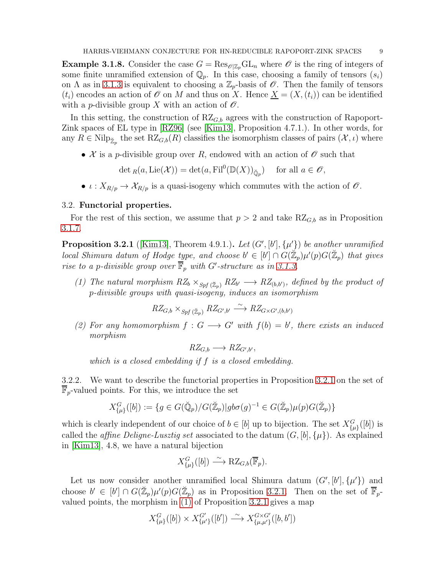<span id="page-8-4"></span>**Example 3.1.8.** Consider the case  $G = \text{Res}_{\mathcal{O}|\mathbb{Z}_p} \text{GL}_n$  where  $\mathcal O$  is the ring of integers of some finite unramified extension of  $\mathbb{Q}_p$ . In this case, choosing a family of tensors  $(s_i)$ on  $\Lambda$  as in [3.1.3](#page-6-1) is equivalent to choosing a  $\mathbb{Z}_p$ -basis of  $\mathscr{O}$ . Then the family of tensors  $(t_i)$  encodes an action of  $\mathscr O$  on M and thus on X. Hence  $\underline X = (X,(t_i))$  can be identified with a *p*-divisible group X with an action of  $\mathcal{O}$ .

In this setting, the construction of  $RZ_{G,b}$  agrees with the construction of Rapoport-Zink spaces of EL type in [\[RZ96\]](#page-21-0) (see [\[Kim13\]](#page-20-2), Proposition 4.7.1.). In other words, for any  $R \in Nilp_{\mathbb{Z}_p}$  the set  $\mathsf{RZ}_{G,b}(R)$  classifies the isomorphism classes of pairs  $(\mathcal{X},\iota)$  where

• X is a p-divisible group over R, endowed with an action of  $\mathscr O$  such that

 $\det_R(a, \mathrm{Lie}(\mathcal{X})) = \det(a, \mathrm{Fil}^0(\mathbb{D}(X))_{\breve{\mathbb{Q}}_p}) \text{ for all } a \in \mathscr{O},$ 

•  $\iota: X_{R/p} \to \mathcal{X}_{R/p}$  is a quasi-isogeny which commutes with the action of  $\mathcal{O}$ .

## 3.2. Functorial properties.

For the rest of this section, we assume that  $p > 2$  and take  $RZ_{G,b}$  as in Proposition [3.1.7.](#page-7-4)

<span id="page-8-0"></span>**Proposition 3.2.1** ([\[Kim13\]](#page-20-2), Theorem 4.9.1.). Let  $(G', [b'], \{\mu'\})$  be another unramified local Shimura datum of Hodge type, and choose  $b' \in [b'] \cap G(\mathbb{Z}_p)\mu'(p)G(\mathbb{Z}_p)$  that gives rise to a p-divisible group over  $\overline{\mathbb{F}}_p$  with G'-structure as in [3.1.3.](#page-6-1)

<span id="page-8-1"></span>(1) The natural morphism  $RZ_b \times_{Spf(\tilde{\mathbb{Z}}_p)} RZ_{b'} \longrightarrow RZ_{(b,b')},$  defined by the product of p-divisible groups with quasi-isogeny, induces an isomorphism

$$
RZ_{G,b} \times_{Spf\,(\breve{\mathbb{Z}}_p)} RZ_{G',b'} \xrightarrow{\sim} RZ_{G \times G',(b,b')}
$$

<span id="page-8-2"></span>(2) For any homomorphism  $f: G \longrightarrow G'$  with  $f(b) = b'$ , there exists an induced morphism

 $RZ_{G,b} \longrightarrow RZ_{G',b'}$ 

which is a closed embedding if f is a closed embedding.

<span id="page-8-3"></span>3.2.2. We want to describe the functorial properties in Proposition [3.2.1](#page-8-0) on the set of  $\mathbb{F}_p$ -valued points. For this, we introduce the set

$$
X_{\{\mu\}}^G([b]):=\{g\in G(\breve{\mathbb{Q}}_p)/G(\breve{\mathbb{Z}}_p)|gb\sigma(g)^{-1}\in G(\breve{\mathbb{Z}}_p)\mu(p)G(\breve{\mathbb{Z}}_p)\}\
$$

which is clearly independent of our choice of  $b \in [b]$  up to bijection. The set  $X_{\{\mu\}}^G([b])$  is called the *affine Deligne-Lusztig set* associated to the datum  $(G, [b], {\mu})$ . As explained in [\[Kim13\]](#page-20-2), 4.8, we have a natural bijection

$$
X_{\{\mu\}}^G([b]) \stackrel{\sim}{\longrightarrow} \mathrm{RZ}_{G,b}(\overline{\mathbb{F}}_p).
$$

Let us now consider another unramified local Shimura datum  $(G', [b'], \{\mu'\})$  and choose  $b' \in [b'] \cap G(\mathbb{Z}_p) \mu'(p)G(\mathbb{Z}_p)$  as in Proposition [3.2.1.](#page-8-0) Then on the set of  $\overline{\mathbb{F}}_p$ valued points, the morphism in [\(1\)](#page-8-1) of Proposition [3.2.1](#page-8-0) gives a map

$$
X^G_{\{\mu\}}([b]) \times X^{G'}_{\{\mu'\}}([b']) \stackrel{\sim}{\longrightarrow} X^{G \times G'}_{\{\mu,\mu'\}}([b,b'])
$$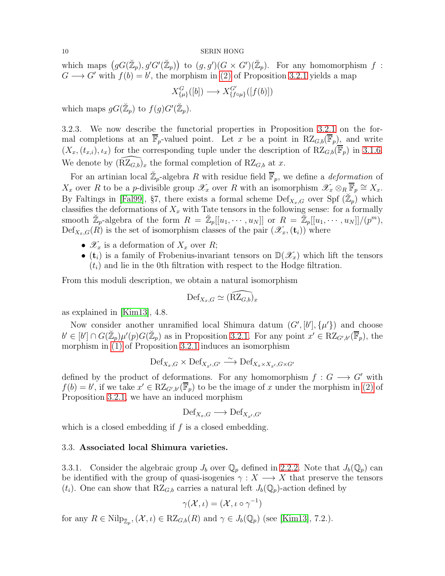which maps  $(gG(\mathbb{Z}_p), g'G'(\mathbb{Z}_p))$  to  $(g, g')(G \times G')(\mathbb{Z}_p)$ . For any homomorphism f:  $G \longrightarrow G'$  with  $f(b) = b'$ , the morphism in [\(2\)](#page-8-2) of Proposition [3.2.1](#page-8-0) yields a map

$$
X_{\{\mu\}}^G([b]) \longrightarrow X_{\{f \circ \mu\}}^{G'}([f(b)])
$$

which maps  $gG(\mathbb{Z}_p)$  to  $f(g)G'(\mathbb{Z}_p)$ .

3.2.3. We now describe the functorial properties in Proposition [3.2.1](#page-8-0) on the formal completions at an  $\overline{\mathbb{F}}_p$ -valued point. Let x be a point in  $RZ_{G,b}(\overline{\mathbb{F}}_p)$ , and write  $(X_x,(t_{x,i}),\iota_x)$  for the corresponding tuple under the description of  $RZ_{G,b}(\overline{\mathbb{F}}_p)$  in [3.1.6.](#page-7-5) We denote by  $(\widetilde{RZ}_{G,b})_x$  the formal completion of  $RZ_{G,b}$  at x.

For an artinian local  $\mathbb{Z}_p$ -algebra R with residue field  $\overline{\mathbb{F}}_p$ , we define a *deformation* of  $X_x$  over R to be a p-divisible group  $\mathscr{X}_x$  over R with an isomorphism  $\mathscr{X}_x \otimes_R \overline{\mathbb{F}}_p \cong X_x$ . By Faltings in [\[Fal99\]](#page-20-10), §7, there exists a formal scheme  $\mathrm{Def}_{X_x,G}$  over Spf  $(\mathbb{Z}_p)$  which classifies the deformations of  $X_x$  with Tate tensors in the following sense: for a formally smooth  $\mathbb{Z}_p$ -algebra of the form  $R = \mathbb{Z}_p[[u_1, \cdots, u_N]]$  or  $R = \mathbb{Z}_p[[u_1, \cdots, u_N]]/(p^m)$ ,  $Def_{X_x,G}(\hat{R})$  is the set of isomorphism classes of the pair  $(\mathscr{X}_x,(\mathbf{t}_i))$  where

- $\mathscr{X}_x$  is a deformation of  $X_x$  over  $R$ ;
- ( $t_i$ ) is a family of Frobenius-invariant tensors on  $\mathbb{D}(\mathscr{X}_x)$  which lift the tensors  $(t<sub>i</sub>)$  and lie in the 0th filtration with respect to the Hodge filtration.

From this moduli description, we obtain a natural isomorphism

$$
\mathrm{Def}_{X_x,G} \simeq (\widehat{\mathrm{RZ}_{G,b}})_x
$$

as explained in [\[Kim13\]](#page-20-2), 4.8.

Now consider another unramified local Shimura datum  $(G', [b'], \{\mu'\})$  and choose  $b' \in [b'] \cap G(\mathbb{Z}_p)\mu'(p)G(\mathbb{Z}_p)$  as in Proposition [3.2.1.](#page-8-0) For any point  $x' \in RZ_{G',b'}(\mathbb{F}_p)$ , the morphism in [\(1\)](#page-8-1) of Proposition [3.2.1](#page-8-0) induces an isomorphism

$$
\mathrm{Def}_{X_x,G}\times \mathrm{Def}_{X_{x'},G'}\stackrel{\sim}{\longrightarrow} \mathrm{Def}_{X_x\times X_{x'},G\times G'}
$$

defined by the product of deformations. For any homomorphism  $f: G \longrightarrow G'$  with  $f(b) = b'$ , if we take  $x' \in RZ_{G',b'}(\overline{\mathbb{F}}_p)$  to be the image of x under the morphism in [\(2\)](#page-8-2) of Proposition [3.2.1,](#page-8-0) we have an induced morphism

$$
\mathrm{Def}_{X_x,G} \longrightarrow \mathrm{Def}_{X_{x'},G'}
$$

which is a closed embedding if  $f$  is a closed embedding.

## <span id="page-9-0"></span>3.3. Associated local Shimura varieties.

3.3.1. Consider the algebraic group  $J_b$  over  $\mathbb{Q}_p$  defined in [2.2.2.](#page-5-4) Note that  $J_b(\mathbb{Q}_p)$  can be identified with the group of quasi-isogenies  $\gamma : X \longrightarrow X$  that preserve the tensors  $(t_i)$ . One can show that RZ<sub>G,b</sub> carries a natural left  $J_b(\mathbb{Q}_p)$ -action defined by

$$
\gamma(\mathcal{X},\iota)=(\mathcal{X},\iota\circ\gamma^{-1})
$$

for any  $R \in \text{Nilp}_{\mathbb{Z}_p}, (\mathcal{X}, \iota) \in \text{RZ}_{G,b}(R)$  and  $\gamma \in J_b(\mathbb{Q}_p)$  (see [\[Kim13\]](#page-20-2), 7.2.).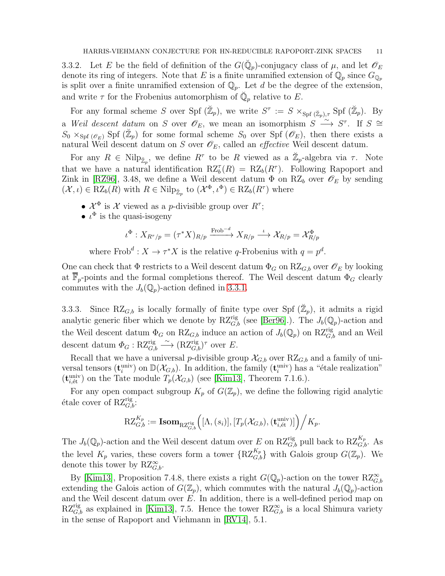3.3.2. Let E be the field of definition of the  $G(\check{Q}_p)$ -conjugacy class of  $\mu$ , and let  $\mathscr{O}_E$ denote its ring of integers. Note that E is a finite unramified extension of  $\mathbb{Q}_p$  since  $G_{\mathbb{Q}_p}$ is split over a finite unramified extension of  $\mathbb{Q}_p$ . Let d be the degree of the extension, and write  $\tau$  for the Frobenius automorphism of  $\check{\mathbb{Q}}_p$  relative to E.

For any formal scheme S over Spf  $(\mathbb{Z}_p)$ , we write  $S^{\tau} := S \times_{\text{Spf }(\mathbb{Z}_p), \tau} \text{Spf }(\mathbb{Z}_p)$ . By a Weil descent datum on S over  $\mathscr{O}_E$ , we mean an isomorphism  $S \longrightarrow^{\sim} S^{\tau}$ . If  $S \cong$  $S_0 \times_{\text{Spf}(\mathscr{O}_E)} \text{Spf}(\mathbb{Z}_p)$  for some formal scheme  $S_0$  over  $\text{Spf}(\mathscr{O}_E)$ , then there exists a natural Weil descent datum on S over  $\mathscr{O}_E$ , called an *effective* Weil descent datum.

For any  $R \in \text{Nilp}_{\mathbb{Z}_p}$ , we define  $R^{\tau}$  to be R viewed as a  $\mathbb{Z}_p$ -algebra via  $\tau$ . Note that we have a natural identification  $RZ_b^{\tau}(R) = RZ_b(R^{\tau})$ . Following Rapoport and Zink in [\[RZ96\]](#page-21-0), 3.48, we define a Weil descent datum  $\Phi$  on RZ<sub>b</sub> over  $\mathscr{O}_E$  by sending  $(\mathcal{X}, \iota) \in RZ_b(R)$  with  $R \in \text{Nilp}_{\check{\mathbb{Z}}_p}$  to  $(\mathcal{X}^{\Phi}, \iota^{\Phi}) \in RZ_b(R^{\tau})$  where

- $\mathcal{X}^{\Phi}$  is  $\mathcal X$  viewed as a *p*-divisible group over  $R^{\tau}$ ;
- $\iota^{\Phi}$  is the quasi-isogeny

$$
\iota^{\Phi}: X_{R^{\tau}/p} = (\tau^*X)_{R/p} \xrightarrow{\text{Frob}^{-d}} X_{R/p} \xrightarrow{\iota} \mathcal{X}_{R/p} = \mathcal{X}_{R/p}^{\Phi}
$$

where  $\text{Frob}^d: X \to \tau^* X$  is the relative q-Frobenius with  $q = p^d$ .

One can check that  $\Phi$  restricts to a Weil descent datum  $\Phi_G$  on  $RZ_{G,b}$  over  $\mathscr{O}_E$  by looking at  $\mathbb{F}_p$ -points and the formal completions thereof. The Weil descent datum  $\Phi_G$  clearly commutes with the  $J_b(\mathbb{Q}_p)$ -action defined in [3.3.1.](#page-9-0)

3.3.3. Since RZ<sub>G,b</sub> is locally formally of finite type over Spf  $(\mathbb{Z}_p)$ , it admits a rigid analytic generic fiber which we denote by  $\mathrm{RZ}_{G,b}^{\text{rig}}$  (see [\[Ber96\]](#page-20-11).). The  $J_b(\mathbb{Q}_p)$ -action and the Weil descent datum  $\Phi_G$  on  $RZ_{G,b}$  induce an action of  $J_b(\mathbb{Q}_p)$  on  $RZ_{G,b}^{rig}$  and an Weil descent datum  $\Phi_G : RZ_{G,b}^{rig} \longrightarrow (RZ_{G,b}^{rig})^{\tau}$  over E.

Recall that we have a universal p-divisible group  $\mathcal{X}_{G,b}$  over  $RZ_{G,b}$  and a family of universal tensors  $(\mathbf{t}^{\text{univ}}_i)$  on  $\mathbb{D}(\mathcal{X}_{G,b})$ . In addition, the family  $(\mathbf{t}^{\text{univ}}_i)$  has a "étale realization"  $(\mathbf{t}_{i,\text{\'et}}^{\text{univ}})$  on the Tate module  $T_p(\mathcal{X}_{G,b})$  (see [\[Kim13\]](#page-20-2), Theorem 7.1.6.).

For any open compact subgroup  $K_p$  of  $G(\mathbb{Z}_p)$ , we define the following rigid analytic étale cover of  $RZ_{G,b}^{rig}$ :

$$
\mathrm{RZ}_{G,b}^{K_p} := \textbf{Isom}_{\mathrm{RZ}_{G,b}^{\text{rig}}} \Big([\Lambda, (s_i)], [T_p(\mathcal{X}_{G,b}), (\mathbf{t}_{i,\text{\'et}}^{\text{univ}})] \Big) \Big/ K_p.
$$

The  $J_b(\mathbb{Q}_p)$ -action and the Weil descent datum over E on RZ<sup>rig</sup><sub>G,b</sub> pull back to RZ<sub>G,b</sub>. As the level  $K_p$  varies, these covers form a tower  $\{RZ_{G,b}^{K_p}\}\$  with Galois group  $G(\mathbb{Z}_p)$ . We denote this tower by  $RZ^{\infty}_{G,b}$ .

By [\[Kim13\]](#page-20-2), Proposition 7.4.8, there exists a right  $G(\mathbb{Q}_p)$ -action on the tower  $RZ_{G,b}^{\infty}$ extending the Galois action of  $G(\mathbb{Z}_p)$ , which commutes with the natural  $J_b(\mathbb{Q}_p)$ -action and the Weil descent datum over  $E$ . In addition, there is a well-defined period map on  $RZ_{G,b}^{rig}$  as explained in [\[Kim13\]](#page-20-2), 7.5. Hence the tower  $RZ_{G,b}^{\infty}$  is a local Shimura variety in the sense of Rapoport and Viehmann in [\[RV14\]](#page-21-1), 5.1.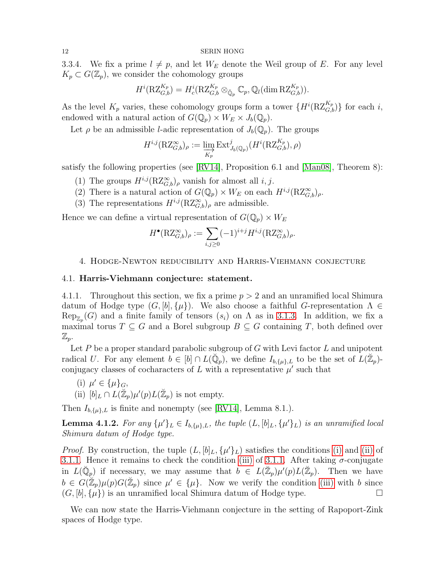3.3.4. We fix a prime  $l \neq p$ , and let  $W_E$  denote the Weil group of E. For any level  $K_p \subset G(\mathbb{Z}_p)$ , we consider the cohomology groups

$$
H^{i}(\mathrm{RZ}_{G,b}^{K_p})=H^{i}_{c}(\mathrm{RZ}_{G,b}^{K_p}\otimes_{\breve{\mathbb{Q}}_p}\mathbb{C}_p,\mathbb{Q}_l(\dim \mathrm{RZ}_{G,b}^{K_p})).
$$

As the level  $K_p$  varies, these cohomology groups form a tower  $\{H^i(\mathrm{RZ}_{G,b}^{K_p})\}$  for each i, endowed with a natural action of  $G(\mathbb{Q}_p) \times W_E \times J_b(\mathbb{Q}_p)$ .

Let  $\rho$  be an admissible *l*-adic representation of  $J_b(\mathbb{Q}_p)$ . The groups

$$
H^{i,j}(\mathrm{RZ}_{G,b}^{\infty})_{\rho} := \varinjlim_{K_p} \mathrm{Ext}^j_{J_b(\mathbb{Q}_p)}(H^i(\mathrm{RZ}_{G,b}^{K_p}), \rho)
$$

satisfy the following properties (see [\[RV14\]](#page-21-1), Proposition 6.1 and [\[Man08\]](#page-21-4), Theorem 8):

- (1) The groups  $H^{i,j}(\mathrm{RZ}_{G,b}^{\infty})$ <sub>ρ</sub> vanish for almost all *i*, *j*.
- (2) There is a natural action of  $G(\mathbb{Q}_p) \times W_E$  on each  $H^{i,j}(\mathrm{RZ}_{G,b}^{\infty})_\rho$ .
- (3) The representations  $H^{i,j}(\mathrm{RZ}_{G,b}^{\infty})_{\rho}$  are admissible.

Hence we can define a virtual representation of  $G(\mathbb{Q}_p) \times W_E$ 

$$
H^{\bullet}(\mathrm{RZ}_{G,b}^{\infty})_{\rho} := \sum_{i,j\geq 0} (-1)^{i+j} H^{i,j}(\mathrm{RZ}_{G,b}^{\infty})_{\rho}.
$$

## <span id="page-11-0"></span>4. Hodge-Newton reducibility and Harris-Viehmann conjecture

### 4.1. Harris-Viehmann conjecture: statement.

4.1.1. Throughout this section, we fix a prime  $p > 2$  and an unramified local Shimura datum of Hodge type  $(G, [b], \{\mu\})$ . We also choose a faithful G-representation  $\Lambda \in$  $\text{Rep}_{\mathbb{Z}_p}(G)$  and a finite family of tensors  $(s_i)$  on  $\Lambda$  as in [3.1.3.](#page-6-1) In addition, we fix a maximal torus  $T \subseteq G$  and a Borel subgroup  $B \subseteq G$  containing T, both defined over  $\mathbb{Z}_p$ .

Let  $P$  be a proper standard parabolic subgroup of  $G$  with Levi factor  $L$  and unipotent radical U. For any element  $b \in [b] \cap L(\breve{\mathbb{Q}}_p)$ , we define  $I_{b,\{\mu\},L}$  to be the set of  $L(\breve{\mathbb{Z}}_p)$ conjugacy classes of cocharacters of  $L$  with a representative  $\mu'$  such that

\n- (i) 
$$
\mu' \in \{\mu\}_G
$$
,
\n- (ii)  $[b]_L \cap L(\mathbb{Z}_p)\mu'(p)L(\mathbb{Z}_p)$  is not empty.
\n

Then  $I_{b,\{\mu\},L}$  is finite and nonempty (see [\[RV14\]](#page-21-1), Lemma 8.1.).

**Lemma 4.1.2.** For any  $\{\mu'\}_L \in I_{b,\{\mu\},L}$ , the tuple  $(L,[b]_L,\{\mu'\}_L)$  is an unramified local Shimura datum of Hodge type.

*Proof.* By construction, the tuple  $(L, [b]_L, \{\mu'\}_L)$  satisfies the conditions [\(i\)](#page-5-5) and [\(ii\)](#page-5-3) of [3.1.1.](#page-5-1) Hence it remains to check the condition [\(iii\)](#page-5-2) of [3.1.1.](#page-5-1) After taking  $\sigma$ -conjugate in  $L(\check{Q}_p)$  if necessary, we may assume that  $b \in L(\check{\mathbb{Z}}_p)\mu'(p)L(\check{\mathbb{Z}}_p)$ . Then we have  $b \in G(\mathbb{Z}_p)\mu(p)G(\mathbb{Z}_p)$  since  $\mu' \in {\{\mu\}}$ . Now we verify the condition [\(iii\)](#page-5-2) with b since  $(G, [b], {\mu})$  is an unramified local Shimura datum of Hodge type.

We can now state the Harris-Viehmann conjecture in the setting of Rapoport-Zink spaces of Hodge type.

<span id="page-11-1"></span>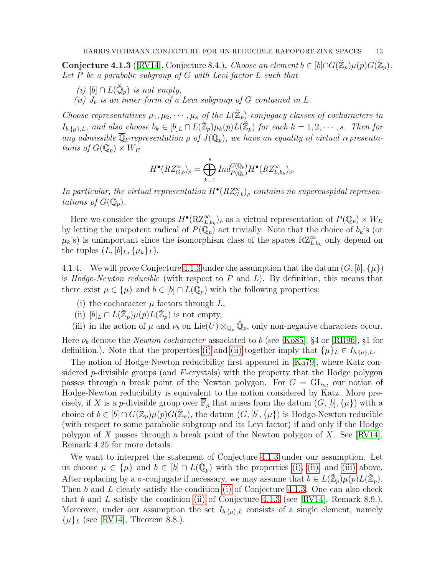<span id="page-12-5"></span><span id="page-12-1"></span>Conjecture 4.1.3 ([\[RV14\]](#page-21-1), Conjecture 8.4.). Choose an element  $b \in [b] \cap G(\mathbb{Z}_p)\mu(p)G(\mathbb{Z}_p)$ . Let  $P$  be a parabolic subgroup of  $G$  with Levi factor  $L$  such that

- (i) [b]  $\cap L(\check{\mathbb{Q}}_p)$  is not empty,
- <span id="page-12-6"></span>(ii)  $J_b$  is an inner form of a Levi subgroup of G contained in L.

Choose representatives  $\mu_1, \mu_2, \cdots, \mu_s$  of the  $L(\mathbb{Z}_p)$ -conjugacy classes of cocharacters in  $I_{b,\{\mu\},L}$ , and also choose  $b_k \in [b]_L \cap L(\mathbb{Z}_p)\mu_k(p) L(\mathbb{Z}_p)$  for each  $k = 1, 2, \cdots, s$ . Then for any admissible  $\overline{\mathbb{Q}}_l$ -representation  $\rho$  of  $J(\mathbb{Q}_p)$ , we have an equality of virtual representations of  $G(\mathbb{Q}_p)\times W_E$ 

$$
H^{\bullet}(RZ_{G,b}^{\infty})_{\rho} = \bigoplus_{k=1}^{s} Ind_{P(\mathbb{Q}_p)}^{G(\mathbb{Q}_p)} H^{\bullet}(RZ_{L,b_k}^{\infty})_{\rho}.
$$

In particular, the virtual representation  $H^{\bullet}(RZ_{G,b}^{\infty})_{\rho}$  contains no supercuspidal representations of  $G(\mathbb{Q}_p)$ .

Here we consider the groups  $H^{\bullet}(\mathrm{RZ}_{L,b_k}^{\infty})_{\rho}$  as a virtual representation of  $P(\mathbb{Q}_p) \times W_E$ by letting the unipotent radical of  $P(\mathbb{Q}_p)$  act trivially. Note that the choice of  $b_k$ 's (or  $\mu_k$ 's) is unimportant since the isomorphism class of the spaces  $RZ^{\infty}_{L,b_k}$  only depend on the tuples  $(L, [b]_L, \{\mu_k\}_L)$ .

<span id="page-12-0"></span>4.1.4. We will prove Conjecture [4.1.3](#page-12-1) under the assumption that the datum  $(G, [b], \{\mu\})$ is *Hodge-Newton reducible* (with respect to  $P$  and  $L$ ). By definition, this means that there exist  $\mu \in {\{\mu\}}$  and  $b \in [b] \cap L(\breve{\mathbb{Q}}_p)$  with the following properties:

- <span id="page-12-3"></span><span id="page-12-2"></span>(i) the cocharacter  $\mu$  factors through  $L$ ,
- <span id="page-12-4"></span>(ii)  $[b]_L \cap L(\mathbb{Z}_p) \mu(p) L(\mathbb{Z}_p)$  is not empty,
- (iii) in the action of  $\mu$  and  $\nu_b$  on Lie(U)  $\otimes_{\mathbb{Q}_p} \check{\mathbb{Q}}_p$ , only non-negative characters occur.

Here  $\nu_b$  denote the *Newton cocharacter* associated to b (see [\[Ko85\]](#page-20-12), §4 or [\[RR96\]](#page-21-7), §1 for definition.). Note that the properties [\(i\)](#page-12-2) and [\(ii\)](#page-12-3) together imply that  $\{\mu\}_L \in I_{b,\{\mu\},L}$ .

The notion of Hodge-Newton reducibility first appeared in [\[Ka79\]](#page-20-13), where Katz considered p-divisible groups (and  $F$ -crystals) with the property that the Hodge polygon passes through a break point of the Newton polygon. For  $G = GL_n$ , our notion of Hodge-Newton reducibility is equivalent to the notion considered by Katz. More precisely, if X is a p-divisible group over  $\overline{\mathbb{F}}_p$  that arises from the datum  $(G, [b], {\mu})$  with a choice of  $b \in [b] \cap G(\mathbb{Z}_p)\mu(p)G(\mathbb{Z}_p)$ , the datum  $(G, [b], {\mu})$  is Hodge-Newton reducible (with respect to some parabolic subgroup and its Levi factor) if and only if the Hodge polygon of X passes through a break point of the Newton polygon of X. See [\[RV14\]](#page-21-1), Remark 4.25 for more details.

We want to interpret the statement of Conjecture [4.1.3](#page-12-1) under our assumption. Let us choose  $\mu \in {\{\mu\}}$  and  $b \in [b] \cap L(\breve{\mathbb{Q}}_p)$  with the properties [\(i\),](#page-12-2) [\(ii\),](#page-12-3) and [\(iii\)](#page-12-4) above. After replacing by a  $\sigma$ -conjugate if necessary, we may assume that  $b \in L(\mathbb{Z}_p) \mu(p) L(\mathbb{Z}_p)$ . Then b and L clearly satisfy the condition [\(i\)](#page-12-5) of Conjecture [4.1.3.](#page-12-1) One can also check that b and L satisfy the condition [\(ii\)](#page-12-6) of Conjecture [4.1.3](#page-12-1) (see [\[RV14\]](#page-21-1), Remark 8.9.). Moreover, under our assumption the set  $I_{b,\{\mu\},L}$  consists of a single element, namely  $\{\mu\}_L$  (see [\[RV14\]](#page-21-1), Theorem 8.8.).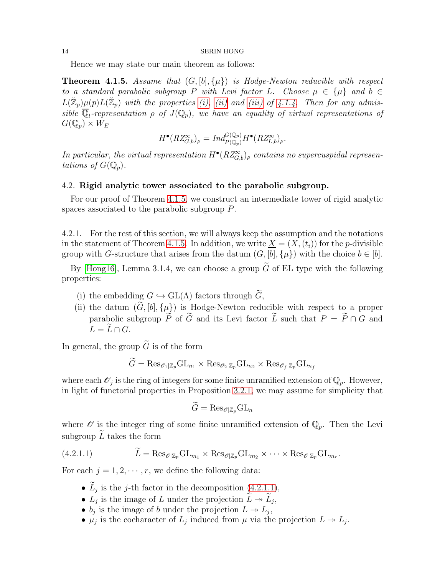Hence we may state our main theorem as follows:

<span id="page-13-0"></span>**Theorem 4.1.5.** Assume that  $(G, [b], \{\mu\})$  is Hodge-Newton reducible with respect to a standard parabolic subgroup P with Levi factor L. Choose  $\mu \in {\{\mu\}}$  and  $b \in$  $L(\mathbb{Z}_p)\mu(p)L(\mathbb{Z}_p)$  with the properties [\(i\),](#page-12-2) [\(ii\)](#page-12-3) and [\(iii\)](#page-12-4) of [4.1.4.](#page-12-0) Then for any admissible  $\overline{\mathbb{Q}}_l$ -representation  $\rho$  of  $J(\mathbb{Q}_p)$ , we have an equality of virtual representations of  $G(\mathbb{Q}_p)\times W_E$ 

$$
H^{\bullet}(RZ_{G,b}^{\infty})_{\rho} = Ind_{P(\mathbb{Q}_p)}^{G(\mathbb{Q}_p)} H^{\bullet}(RZ_{L,b}^{\infty})_{\rho}.
$$

In particular, the virtual representation  $H^{\bullet}(RZ_{G,b}^{\infty})_{\rho}$  contains no supercuspidal representations of  $G(\mathbb{Q}_p)$ .

## <span id="page-13-2"></span>4.2. Rigid analytic tower associated to the parabolic subgroup.

For our proof of Theorem [4.1.5,](#page-13-0) we construct an intermediate tower of rigid analytic spaces associated to the parabolic subgroup P.

4.2.1. For the rest of this section, we will always keep the assumption and the notations in the statement of Theorem [4.1.5.](#page-13-0) In addition, we write  $\underline{X} = (X,(t_i))$  for the p-divisible group with G-structure that arises from the datum  $(G, [b], {\mu})$  with the choice  $b \in [b]$ .

By [\[Hong16\]](#page-20-6), Lemma 3.1.4, we can choose a group  $\tilde{G}$  of EL type with the following properties:

- (i) the embedding  $G \hookrightarrow \text{GL}(\Lambda)$  factors through  $\widetilde{G}$ ,
- (ii) the datum  $(\widetilde{G}, [b], {\mu})$  is Hodge-Newton reducible with respect to a proper parabolic subgroup  $\tilde{P}$  of  $\tilde{G}$  and its Levi factor  $\tilde{L}$  such that  $P = \tilde{P} \cap G$  and  $L = \tilde{L} \cap G$ .

In general, the group  $\tilde{G}$  is of the form

$$
G = \text{Res}_{\mathcal{O}_1|\mathbb{Z}_p} \text{GL}_{n_1} \times \text{Res}_{\mathcal{O}_2|\mathbb{Z}_p} \text{GL}_{n_2} \times \text{Res}_{\mathcal{O}_f|\mathbb{Z}_p} \text{GL}_{n_f}
$$

where each  $\mathcal{O}_j$  is the ring of integers for some finite unramified extension of  $\mathbb{Q}_p$ . However, in light of functorial properties in Proposition [3.2.1,](#page-8-0) we may assume for simplicity that

$$
\tilde{G} = \text{Res}_{\mathscr{O}|\mathbb{Z}_p} \text{GL}_n
$$

where  $\mathscr O$  is the integer ring of some finite unramified extension of  $\mathbb Q_p$ . Then the Levi subgroup  $\overline{L}$  takes the form

(4.2.1.1) 
$$
L = \text{Res}_{\mathscr{O}|\mathbb{Z}_p} \text{GL}_{m_1} \times \text{Res}_{\mathscr{O}|\mathbb{Z}_p} \text{GL}_{m_2} \times \cdots \times \text{Res}_{\mathscr{O}|\mathbb{Z}_p} \text{GL}_{m_r}.
$$

For each  $j = 1, 2, \dots, r$ , we define the following data:

- <span id="page-13-1"></span>•  $L_j$  is the j-th factor in the decomposition [\(4.2.1.1\)](#page-13-1),
- $L_j$  is the image of L under the projection  $\widetilde{L} \twoheadrightarrow \widetilde{L}_j$ ,
- $b_j$  is the image of b under the projection  $L \twoheadrightarrow L_j$ ,
- $\mu_j$  is the cocharacter of  $L_j$  induced from  $\mu$  via the projection  $L \twoheadrightarrow L_j$ .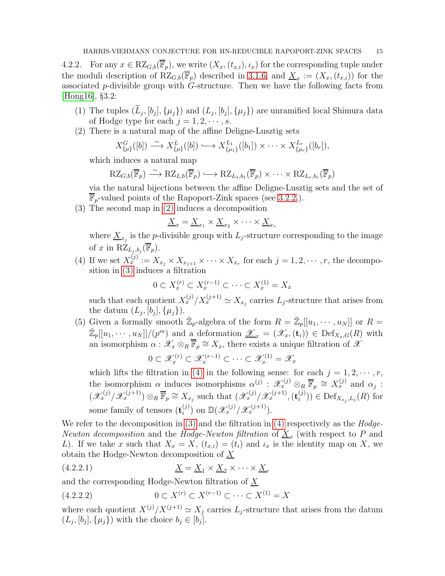<span id="page-14-3"></span>4.2.2. For any  $x \in RZ_{G,b}(\overline{\mathbb{F}}_p)$ , we write  $(X_x,(t_{x,i}), \iota_x)$  for the corresponding tuple under the moduli description of  $RZ_{G,b}(\overline{\mathbb{F}}_p)$  described in [3.1.6,](#page-7-5) and  $\underline{X}_x := (X_x, (t_{x,i}))$  for the associated  $p$ -divisible group with  $G$ -structure. Then we have the following facts from [\[Hong16\]](#page-20-6), §3.2:

- (1) The tuples  $(L_j, [b_j], \{\mu_j\})$  and  $(L_j, [b_j], \{\mu_j\})$  are unramified local Shimura data of Hodge type for each  $j = 1, 2, \dots, s$ .
- <span id="page-14-0"></span>(2) There is a natural map of the affine Deligne-Lusztig sets

$$
X_{\{\mu\}}^G([b]) \stackrel{\sim}{\longrightarrow} X_{\{\mu\}}^L([b]) \longrightarrow X_{\{\mu_1\}}^{L_1}([b_1]) \times \cdots \times X_{\{\mu_r\}}^{L_r}([b_r]),
$$

which induces a natural map

$$
\mathrm{RZ}_{G,b}(\overline{\mathbb{F}}_p) \stackrel{\sim}{\longrightarrow} \mathrm{RZ}_{L,b}(\overline{\mathbb{F}}_p) \longrightarrow \mathrm{RZ}_{L_1,b_1}(\overline{\mathbb{F}}_p) \times \cdots \times \mathrm{RZ}_{L_r,b_r}(\overline{\mathbb{F}}_p)
$$

via the natural bijections between the affine Deligne-Lusztig sets and the set of  $\mathbb{F}_p$ -valued points of the Rapoport-Zink spaces (see [3.2.2.](#page-8-3)).

<span id="page-14-1"></span>(3) The second map in [\(2\)](#page-14-0) induces a decomposition

$$
\underline{X}_x = \underline{X}_{x_1} \times \underline{X}_{x_2} \times \cdots \times \underline{X}_{x_r}
$$

where  $\underline{X}_{x_j}$  is the *p*-divisible group with  $L_j$ -structure corresponding to the image of x in  $\mathrm{RZ}_{L_j, b_j}(\overline{\mathbb{F}}_p)$ .

<span id="page-14-2"></span>(4) If we set  $X_x^{(j)} := X_{x_j} \times X_{x_{j+1}} \times \cdots \times X_{x_r}$  for each  $j = 1, 2, \cdots, r$ , the decomposition in [\(3\)](#page-14-1) induces a filtration

 $0 \subset X_x^{(r)} \subset X_x^{(r-1)} \subset \cdots \subset X_x^{(1)} = X_x$ 

such that each quotient  $X_x^{(j)}/X_x^{(j+1)} \simeq X_{x_j}$  carries  $L_j$ -structure that arises from the datum  $(L_j, [b_j], {\mu_j})$ .

<span id="page-14-4"></span>(5) Given a formally smooth  $\mathbb{Z}_p$ -algebra of the form  $R = \mathbb{Z}_p[[u_1, \dots, u_N]]$  or  $R =$  $\mathbb{Z}_p[[u_1,\dots,u_N]]/(p^m)$  and a deformation  $\underline{\mathscr{X}}_x=(\mathscr{X}_x,(\mathbf{t}_i))\in \mathrm{Def}_{X_x,G}(R)$  with an isomorphism  $\alpha: \mathscr{X}_x \otimes_R \overline{\mathbb{F}}_p \cong X_x$ , there exists a unique filtration of  $\mathscr{X}$ 

$$
0 \subset \mathscr{X}_x^{(r)} \subset \mathscr{X}_x^{(r-1)} \subset \cdots \subset \mathscr{X}_x^{(1)} = \mathscr{X}_x
$$

which lifts the filtration in [\(4\)](#page-14-2) in the following sense: for each  $j = 1, 2, \dots, r$ , the isomorphism  $\alpha$  induces isomorphisms  $\alpha^{(j)}$ :  $\mathscr{X}_x^{(j)} \otimes_R \overline{\mathbb{F}}_p \cong X_x^{(j)}$  and  $\alpha_j$ :  $(\mathscr{X}_x^{(j)}/\mathscr{X}_x^{(j+1)}) \otimes_R \overline{\mathbb{F}}_p \cong X_{x_j}$  such that  $(\mathscr{X}_x^{(j)}/\mathscr{X}_x^{(j+1)}, (\mathbf{t}_i^{(j)})$  $\mathcal{D}(\mathcal{Y})$   $\in$  Def<sub> $X_{x_j}, L_j(R)$ </sub> for some family of tensors  $(\mathbf{t}_i^{(j)})$  $\mathbb{D}(\mathcal{X}_x^{(j)}/\mathcal{X}_x^{(j+1)}).$ 

We refer to the decomposition in  $(3)$  and the filtration in  $(4)$  respectively as the  $Hodge$ Newton decomposition and the Hodge-Newton filtration of  $\underline{X}_x$  (with respect to P and L). If we take x such that  $X_x = X$ ,  $(t_{x,i}) = (t_i)$  and  $t_x$  is the identity map on X, we obtain the Hodge-Newton decomposition of  $\overline{X}$ 

(4.2.2.1) X = X<sup>1</sup> × X<sup>2</sup> × · · · × X<sup>r</sup>

and the corresponding Hodge-Newton filtration of  $\underline{X}$ 

$$
(4.2.2.2) \t 0 \subset X^{(r)} \subset X^{(r-1)} \subset \dots \subset X^{(1)} = X
$$

where each quotient  $X^{(j)}/X^{(j+1)} \simeq X_j$  carries  $L_j$ -structure that arises from the datum  $(L_j, [b_j], \{\mu_j\})$  with the choice  $b_j \in [b_j]$ .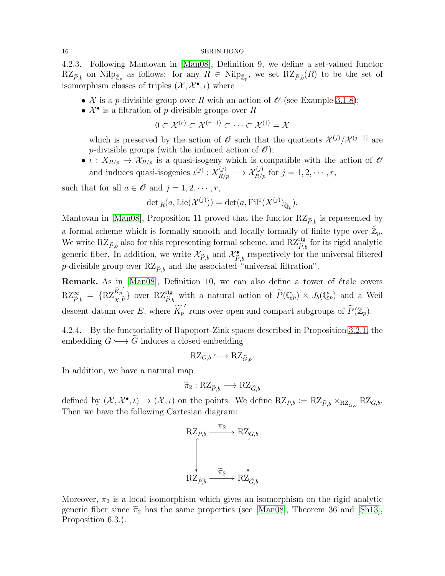4.2.3. Following Mantovan in [\[Man08\]](#page-21-4), Definition 9, we define a set-valued functor  $RZ_{\widetilde{P},b}$  on Nilp<sub> $\mathbb{Z}_p$ </sub> as follows: for any  $R \in Nilp_{\mathbb{Z}_p}$ , we set  $RZ_{\widetilde{P},b}(R)$  to be the set of isomorphism classes of triples  $(\mathcal{X}, \mathcal{X}^{\bullet}, \iota)$  where

- X is a p-divisible group over R with an action of  $\mathcal O$  (see Example [3.1.8\)](#page-8-4);
- $\mathcal{X}^{\bullet}$  is a filtration of *p*-divisible groups over *R*

$$
0 \subset \mathcal{X}^{(r)} \subset \mathcal{X}^{(r-1)} \subset \cdots \subset \mathcal{X}^{(1)} = \mathcal{X}
$$

which is preserved by the action of  $\mathscr O$  such that the quotients  $\mathcal X^{(j)}/\mathcal X^{(j+1)}$  are p-divisible groups (with the induced action of  $\mathscr{O}$ );

•  $\iota: X_{R/p} \to \mathcal{X}_{R/p}$  is a quasi-isogeny which is compatible with the action of  $\mathcal O$ and induces quasi-isogenies  $\iota^{(j)} : X_{R/p}^{(j)} \longrightarrow \mathcal{X}_{R/p}^{(j)}$  for  $j = 1, 2, \cdots, r$ ,

such that for all  $a \in \mathcal{O}$  and  $j = 1, 2, \cdots, r$ ,

$$
\det_R(a, \mathrm{Lie}(\mathcal{X}^{(j)})) = \det(a, \mathrm{Fil}^0(X^{(j)})_{\breve{\mathbb{Q}}_p}).
$$

Mantovan in [\[Man08\]](#page-21-4), Proposition 11 proved that the functor  $RZ_{\tilde{P},b}$  is represented by a formal scheme which is formally smooth and locally formally of finite type over  $\mathbb{Z}_p$ . We write  $RZ_{\widetilde{P},b}$  also for this representing formal scheme, and  $RZ_{\widetilde{P},b}^{rig}$  for its rigid analytic generic fiber. In addition, we write  $\mathcal{X}_{\widetilde{P},b}$  and  $\mathcal{X}_{\widetilde{P},b}^{\bullet}$  respectively for the universal filtered *p*-divisible group over  $RZ_{\tilde{P},b}$  and the associated "universal filtration".

Remark. As in [\[Man08\]](#page-21-4), Definition 10, we can also define a tower of étale covers  $\mathrm{RZ}_{\widetilde{P},b}^{\infty} \;=\; \{\mathrm{RZ}_{X,\widetilde{P}}^{\widetilde{K_p}^{\prime}}\;$  $\{X_p,K_p\}$  over RZ<sup>rig</sup><sub> $\tilde{P},\tilde{P}$ </sub> with a natural action of  $\tilde{P}(\mathbb{Q}_p) \times J_b(\mathbb{Q}_p)$  and a Weil descent datum over E, where  $\widetilde{K_p}'$  runs over open and compact subgroups of  $\widetilde{P}(\mathbb{Z}_p)$ .

<span id="page-15-0"></span>4.2.4. By the functoriality of Rapoport-Zink spaces described in Proposition [3.2.1,](#page-8-0) the embedding  $G \hookrightarrow \widetilde{G}$  induces a closed embedding

$$
\mathrm{RZ}_{G,b} \longleftrightarrow \mathrm{RZ}_{\widetilde{G},b}.
$$

In addition, we have a natural map

$$
\widetilde{\pi}_2: \mathrm{RZ}_{\widetilde{P},b} \longrightarrow \mathrm{RZ}_{\widetilde{G},b}
$$

defined by  $(\mathcal{X}, \mathcal{X}^{\bullet}, \iota) \mapsto (\mathcal{X}, \iota)$  on the points. We define  $RZ_{P,b} := RZ_{\widetilde{P},b} \times_{RZ_{\widetilde{G},b}} RZ_{G,b}$ . Then we have the following Cartesian diagram:

$$
\begin{array}{ccc}\n\mathbf{RZ}_{P,b} & \xrightarrow{\pi_2} & \mathbf{RZ}_{G,b} \\
\downarrow & & \downarrow \\
\mathbf{RZ}_{\widetilde{P,b}} & \xrightarrow{\widetilde{\pi}_2} & \mathbf{RZ}_{\widetilde{G},b}\n\end{array}
$$

Moreover,  $\pi_2$  is a local isomorphism which gives an isomorphism on the rigid analytic generic fiber since  $\tilde{\pi}_2$  has the same properties (see [\[Man08\]](#page-21-4), Theorem 36 and [\[Sh13\]](#page-21-5), Proposition 6.3.).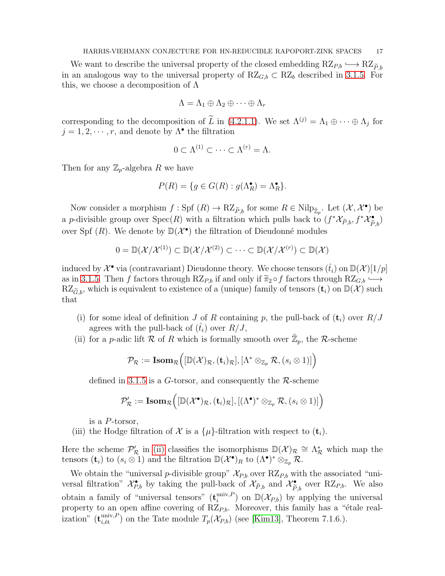We want to describe the universal property of the closed embedding  $RZ_{P,b} \hookrightarrow RZ_{\tilde{P},b}$ in an analogous way to the universal property of  $RZ_{G,b} \subset RZ_b$  described in [3.1.5.](#page-7-1) For this, we choose a decomposition of  $\Lambda$ 

$$
\Lambda = \Lambda_1 \oplus \Lambda_2 \oplus \cdots \oplus \Lambda_r
$$

corresponding to the decomposition of  $\tilde{L}$  in [\(4.2.1.1\)](#page-13-1). We set  $\Lambda^{(j)} = \Lambda_1 \oplus \cdots \oplus \Lambda_j$  for  $j = 1, 2, \dots, r$ , and denote by  $\Lambda^{\bullet}$  the filtration

$$
0 \subset \Lambda^{(1)} \subset \cdots \subset \Lambda^{(r)} = \Lambda.
$$

Then for any  $\mathbb{Z}_p$ -algebra R we have

$$
P(R) = \{ g \in G(R) : g(\Lambda_R^{\bullet}) = \Lambda_R^{\bullet} \}.
$$

Now consider a morphism  $f: \text{Spf}(R) \to \text{RZ}_{\widetilde{P},b}$  for some  $R \in \text{Nilp}_{\mathbb{Z}_p}$ . Let  $(\mathcal{X}, \mathcal{X}^{\bullet})$  be a p-divisible group over  $Spec(R)$  with a filtration which pulls back to  $(f^*\mathcal{X}_{\widetilde{P},b}, f^*\mathcal{X}_{\widetilde{P},b}^{\bullet})$ over Spf  $(R)$ . We denote by  $\mathbb{D}(\mathcal{X}^{\bullet})$  the filtration of Dieudonné modules

$$
0 = \mathbb{D}(\mathcal{X}/\mathcal{X}^{(1)}) \subset \mathbb{D}(\mathcal{X}/\mathcal{X}^{(2)}) \subset \cdots \subset \mathbb{D}(\mathcal{X}/\mathcal{X}^{(r)}) \subset \mathbb{D}(\mathcal{X})
$$

induced by  $\mathcal{X}^{\bullet}$  via (contravariant) Dieudonne theory. We choose tensors  $(\hat{t}_i)$  on  $\mathbb{D}(\mathcal{X})[1/p]$ as in [3.1.5.](#page-7-1) Then f factors through  $RZ_{P,b}$  if and only if  $\widetilde{\pi}_2 \circ f$  factors through  $RZ_{G,b} \hookrightarrow$  $RZ_{\tilde{G},b}$ , which is equivalent to existence of a (unique) family of tensors  $(\mathbf{t}_i)$  on  $\mathbb{D}(\mathcal{X})$  such that

- (i) for some ideal of definition J of R containing p, the pull-back of  $(t_i)$  over  $R/J$ agrees with the pull-back of  $(\hat{t}_i)$  over  $R/J$ ,
- <span id="page-16-0"></span>(ii) for a *p*-adic lift R of R which is formally smooth over  $\mathbb{Z}_p$ , the R-scheme

$$
\mathcal{P}_{\mathcal{R}} := \textbf{Isom}_{\mathcal{R}} \Big( [\mathbb{D}(\mathcal{X})_{\mathcal{R}}, (\mathbf{t}_i)_{\mathcal{R}}], [\Lambda^* \otimes_{\mathbb{Z}_p} \mathcal{R}, (s_i \otimes 1)] \Big)
$$

defined in [3.1.5](#page-7-1) is a G-torsor, and consequently the  $\mathcal{R}\text{-scheme}$ 

$$
\mathcal{P}_{\mathcal{R}}':=\textbf{Isom}_{\mathcal{R}}\Big([\mathbb{D}(\mathcal{X}^\bullet)_{\mathcal{R}},(\mathbf{t}_i)_{\mathcal{R}}], [(\Lambda^\bullet)^* \otimes_{\mathbb{Z}_p} \mathcal{R}, (s_i \otimes 1)]\Big)
$$

is a P-torsor,

(iii) the Hodge filtration of  $\mathcal X$  is a  $\{\mu\}$ -filtration with respect to  $(\mathbf t_i)$ .

Here the scheme  $\mathcal{P}'_{\mathcal{R}}$  in [\(ii\)](#page-16-0) classifies the isomorphisms  $\mathbb{D}(\mathcal{X})_{\mathcal{R}} \cong \Lambda_{\mathcal{R}}^*$  which map the tensors  $(\mathbf{t}_i)$  to  $(s_i \otimes 1)$  and the filtration  $\mathbb{D}(\mathcal{X}^{\bullet})_R$  to  $(\Lambda^{\bullet})^* \otimes_{\mathbb{Z}_p} \mathcal{R}$ .

We obtain the "universal p-divisible group"  $\mathcal{X}_{P,b}$  over  $RZ_{P,b}$  with the associated "universal filtration"  $\mathcal{X}_{P,b}^{\bullet}$  by taking the pull-back of  $\mathcal{X}_{\widetilde{P},b}$  and  $\mathcal{X}_{\widetilde{P},b}^{\bullet}$  over RZ<sub>P,b</sub>. We also obtain a family of "universal tensors"  $(\mathbf{t}_i^{\text{univ},P})$  $\binom{\text{univ},P}{i}$  on  $\mathbb{D}(\mathcal{X}_{P,b})$  by applying the universal property to an open affine covering of  $RZ_{P,b}$ . Moreover, this family has a "étale realization"  $(\mathbf{t}_{i,\text{\'et}}^{\text{univ, }P})$  on the Tate module  $T_p(\mathcal{X}_{P,b})$  (see [\[Kim13\]](#page-20-2), Theorem 7.1.6.).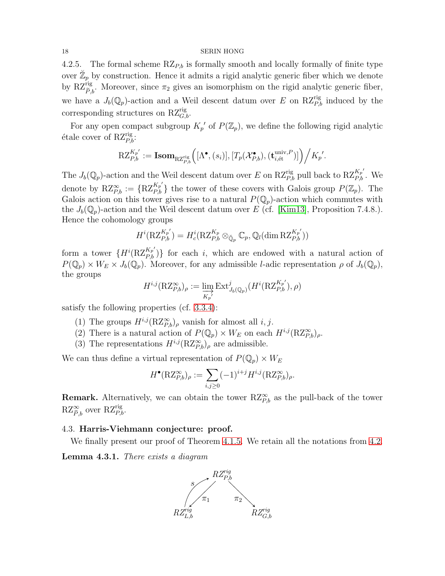4.2.5. The formal scheme  $RZ_{P,b}$  is formally smooth and locally formally of finite type over  $\mathbb{Z}_p$  by construction. Hence it admits a rigid analytic generic fiber which we denote by  $\mathrm{RZ}_{\tilde{P},b}^{\text{rig}}$ . Moreover, since  $\pi_2$  gives an isomorphism on the rigid analytic generic fiber, we have a  $J_b(\mathbb{Q}_p)$ -action and a Weil descent datum over E on R $Z_{P,b}^{\text{rig}}$  induced by the corresponding structures on  $\mathrm{RZ}_{G,b}^{\text{rig}}$ .

For any open compact subgroup  $K_p'$  of  $P(\mathbb{Z}_p)$ , we define the following rigid analytic étale cover of  $RZ_{P,b}^{rig}$ :

$$
\mathrm{RZ}_{P,b}^{K_{p'}} := \textbf{Isom}_{\mathrm{RZ}_{P,b}^{\text{rig}}} \Big([\Lambda^\bullet,(s_i)], [T_p(\mathcal{X}_{P,b}^\bullet),(\mathbf{t}_{i,\text{\'et}}^{\text{univ},P})] \Big) \Big/ K_{p'}.
$$

The  $J_b(\mathbb{Q}_p)$ -action and the Weil descent datum over E on RZ<sup>rig</sup><sub>P,b</sub> pull back to RZ<sup>K<sub>p</sub>'</sup><sub>b</sub>. We denote by  $RZ_{P,b}^{\infty} := \{ RZ_{P,b}^{K_p} \}$  the tower of these covers with Galois group  $P(\mathbb{Z}_p)$ . The Galois action on this tower gives rise to a natural  $P(\mathbb{Q}_p)$ -action which commutes with the  $J_b(\mathbb{Q}_p)$ -action and the Weil descent datum over E (cf. [\[Kim13\]](#page-20-2), Proposition 7.4.8.). Hence the cohomology groups

$$
H^{i}(\mathrm{RZ}^{K_{p'}}_{P,b})=H^{i}_{c}(\mathrm{RZ}^{K_{p}}_{P,b}\otimes_{\breve{\mathbb{Q}}_{p}}\mathbb{C}_{p},\mathbb{Q}_{l}(\dim \mathrm{RZ}^{K_{p'}}_{P,b}))
$$

form a tower  $\{H^{i}(\mathrm{RZ}_{P,b}^{K_p})\}$  for each i, which are endowed with a natural action of  $P(\mathbb{Q}_p) \times W_E \times J_b(\mathbb{Q}_p)$ . Moreover, for any admissible *l*-adic representation  $\rho$  of  $J_b(\mathbb{Q}_p)$ , the groups

$$
H^{i,j}(\mathrm{RZ}^\infty_{P,b})_\rho := \varinjlim_{K_p'} \mathrm{Ext}^j_{J_b(\mathbb{Q}_p)}(H^i(\mathrm{RZ}^{K_p'}_{P,b}), \rho)
$$

satisfy the following properties (cf. [3.3.4\)](#page-11-1):

- (1) The groups  $H^{i,j}(\mathrm{RZ}_{P,b}^{\infty})_{\rho}$  vanish for almost all  $i, j$ .
- (2) There is a natural action of  $P(\mathbb{Q}_p) \times W_E$  on each  $H^{i,j}(\mathrm{RZ}^\infty_{P,b})_\rho$ .
- (3) The representations  $H^{i,j}(\mathrm{RZ}_{P,b}^{\infty})_{\rho}$  are admissible.

We can thus define a virtual representation of  $P(\mathbb{Q}_p) \times W_E$ 

$$
H^{\bullet}(\mathrm{RZ}^{\infty}_{P,b})_{\rho} := \sum_{i,j\geq 0} (-1)^{i+j} H^{i,j}(\mathrm{RZ}^{\infty}_{P,b})_{\rho}.
$$

**Remark.** Alternatively, we can obtain the tower  $RZ_{P,b}^{\infty}$  as the pull-back of the tower  $RZ_{\widetilde{P},b}^{\infty}$  over  $RZ_{P,b}^{\text{rig}}$ .

## 4.3. Harris-Viehmann conjecture: proof.

We finally present our proof of Theorem [4.1.5.](#page-13-0) We retain all the notations from [4.2.](#page-13-2)

Lemma 4.3.1. There exists a diagram

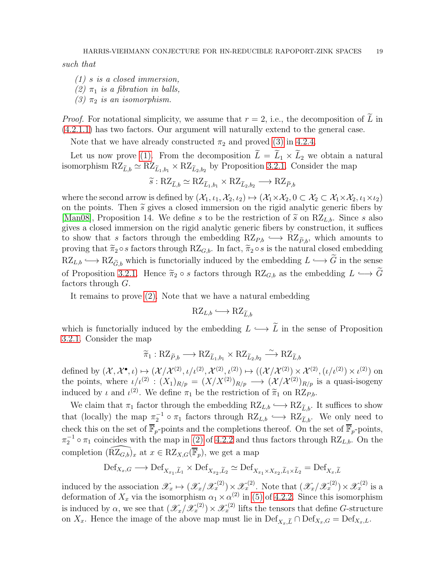<span id="page-18-1"></span>such that

<span id="page-18-2"></span>(1) s is a closed immersion,

<span id="page-18-0"></span>(2)  $\pi_1$  is a fibration in balls,

(3)  $\pi_2$  is an isomorphism.

*Proof.* For notational simplicity, we assume that  $r = 2$ , i.e., the decomposition of  $\tilde{L}$  in [\(4.2.1.1\)](#page-13-1) has two factors. Our argument will naturally extend to the general case.

Note that we have already constructed  $\pi_2$  and proved [\(3\)](#page-18-0) in [4.2.4.](#page-15-0)

Let us now prove [\(1\).](#page-18-1) From the decomposition  $L = L_1 \times L_2$  we obtain a natural isomorphism  $RZ_{\tilde{L},b} \simeq RZ_{\tilde{L}_1,b_1} \times RZ_{\tilde{L}_2,b_2}$  by Proposition [3.2.1.](#page-8-0) Consider the map

$$
\widetilde{s}: \mathrm{RZ}_{\widetilde{L},b} \simeq \mathrm{RZ}_{\widetilde{L}_1,b_1} \times \mathrm{RZ}_{\widetilde{L}_2,b_2} \longrightarrow \mathrm{RZ}_{\widetilde{P},b}
$$

where the second arrow is defined by  $(\mathcal{X}_1, \iota_1, \mathcal{X}_2, \iota_2) \mapsto (\mathcal{X}_1 \times \mathcal{X}_2, 0 \subset \mathcal{X}_2 \subset \mathcal{X}_1 \times \mathcal{X}_2, \iota_1 \times \iota_2)$ on the points. Then  $\tilde{s}$  gives a closed immersion on the rigid analytic generic fibers by [\[Man08\]](#page-21-4), Proposition 14. We define s to be the restriction of  $\tilde{s}$  on RZ<sub>L,b</sub>. Since s also gives a closed immersion on the rigid analytic generic fibers by construction, it suffices to show that s factors through the embedding  $RZ_{P,b} \hookrightarrow RZ_{\tilde{P},b}$ , which amounts to proving that  $\tilde{\pi}_2 \circ s$  factors through RZ<sub>G,b</sub>. In fact,  $\tilde{\pi}_2 \circ s$  is the natural closed embedding  $RZ_{L,b} \longrightarrow RZ_{\tilde{G},b}$  which is functorially induced by the embedding  $L \longrightarrow \tilde{G}$  in the sense of Proposition [3.2.1.](#page-8-0) Hence  $\tilde{\pi}_2 \circ s$  factors through  $RZ_{G,b}$  as the embedding  $L \hookrightarrow \tilde{G}$ factors through  $G$ .

It remains to prove [\(2\).](#page-18-2) Note that we have a natural embedding

$$
\mathrm{RZ}_{L,b} \longleftrightarrow \mathrm{RZ}_{\widetilde{L},b}
$$

which is functorially induced by the embedding  $L \hookrightarrow \tilde{L}$  in the sense of Proposition [3.2.1.](#page-8-0) Consider the map

$$
\widetilde{\pi}_1: \mathrm{RZ}_{\widetilde{P},b} \longrightarrow \mathrm{RZ}_{\widetilde{L}_1,b_1} \times \mathrm{RZ}_{\widetilde{L}_2,b_2} \stackrel{\sim}{\longrightarrow} \mathrm{RZ}_{\widetilde{L},b}
$$

defined by  $(\mathcal{X}, \mathcal{X}^{\bullet}, \iota) \mapsto (\mathcal{X}/\mathcal{X}^{(2)}, \iota/\iota^{(2)}, \mathcal{X}^{(2)}, \iota^{(2)}) \mapsto ((\mathcal{X}/\mathcal{X}^{(2)}) \times \mathcal{X}^{(2)}, (\iota/\iota^{(2)}) \times \iota^{(2)})$  on the points, where  $\iota/\iota^{(2)}$ :  $(X_1)_{R/p} = (X/X^{(2)})_{R/p} \longrightarrow (X/X^{(2)})_{R/p}$  is a quasi-isogeny induced by  $\iota$  and  $\iota^{(2)}$ . We define  $\pi_1$  be the restriction of  $\widetilde{\pi}_1$  on  $RZ_{P,b}$ .

We claim that  $\pi_1$  factor through the embedding  $RZ_{L,b} \longrightarrow RZ_{\tilde{L},b}$ . It suffices to show that (locally) the map  $\pi_2^{-1} \circ \pi_1$  factors through  $RZ_{L,b} \hookrightarrow RZ_{\tilde{L},b}$ . We only need to check this on the set of  $\overline{\mathbb{F}}_p$ -points and the completions thereof. On the set of  $\overline{\mathbb{F}}_p$ -points,  $\pi_2^{-1} \circ \pi_1$  coincides with the map in [\(2\)](#page-14-0) of [4.2.2](#page-14-3) and thus factors through RZ<sub>L,b</sub>. On the completion  $(\widetilde{RZ_{G,b}})_x$  at  $x \in RZ_{X,G}(\overline{\mathbb{F}}_p)$ , we get a map

$$
\mathrm{Def}_{X_x,G} \longrightarrow \mathrm{Def}_{X_{x_1},\widetilde{L}_1} \times \mathrm{Def}_{X_{x_2},\widetilde{L}_2} \simeq \mathrm{Def}_{X_{x_1} \times X_{x_2},\widetilde{L}_1 \times \widetilde{L}_2} = \mathrm{Def}_{X_x,\widetilde{L}}
$$

induced by the association  $\mathscr{X}_x \mapsto (\mathscr{X}_x/\mathscr{X}_x^{(2)}) \times \mathscr{X}_x^{(2)}$ . Note that  $(\mathscr{X}_x/\mathscr{X}_x^{(2)}) \times \mathscr{X}_x^{(2)}$  is a deformation of  $X_x$  via the isomorphism  $\alpha_1 \times \alpha^{(2)}$  in [\(5\)](#page-14-4) of [4.2.2.](#page-14-3) Since this isomorphism is induced by  $\alpha$ , we see that  $(\mathscr{X}_x/\mathscr{X}_x^{(2)}) \times \mathscr{X}_x^{(2)}$  lifts the tensors that define G-structure on  $X_x$ . Hence the image of the above map must lie in  $\mathrm{Def}_{X_x,\widetilde{L}} \cap \mathrm{Def}_{X_x,G} = \mathrm{Def}_{X_x,L}$ .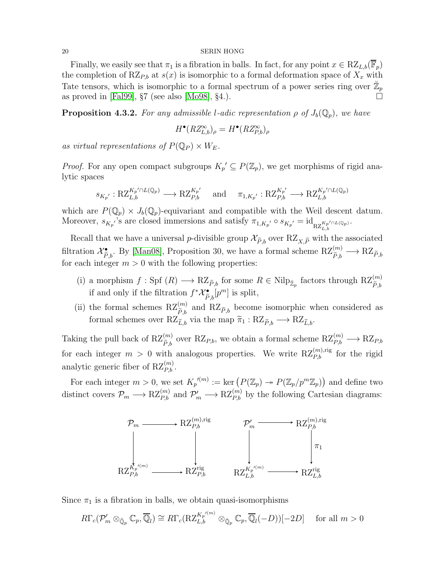Finally, we easily see that  $\pi_1$  is a fibration in balls. In fact, for any point  $x \in RZ_{L,b}(\mathbb{F}_p)$ the completion of RZ<sub>P,b</sub> at  $s(x)$  is isomorphic to a formal deformation space of  $X_x$  with Tate tensors, which is isomorphic to a formal spectrum of a power series ring over  $\mathbb{Z}_p$ as proved in [\[Fal99\]](#page-20-10),  $\S7$  (see also [\[Mo98\]](#page-21-8),  $\S4$ .).

<span id="page-19-0"></span>**Proposition 4.3.2.** For any admissible l-adic representation  $\rho$  of  $J_b(\mathbb{Q}_p)$ , we have

$$
H^{\bullet}(RZ_{L,b}^{\infty})_{\rho} = H^{\bullet}(RZ_{P,b}^{\infty})_{\rho}
$$

as virtual representations of  $P(\mathbb{Q}_P) \times W_F$ .

*Proof.* For any open compact subgroups  $K_p' \subseteq P(\mathbb{Z}_p)$ , we get morphisms of rigid analytic spaces

$$
s_{K_{p'}}:RZ_{L,b}^{K_{p'}\cap L(\mathbb{Q}_p)}\longrightarrow RZ_{P,b}^{K_{p'}}\quad \text{ and }\quad \pi_{1,K_{p'}}:RZ_{P,b}^{K_{p'}}\longrightarrow RZ_{L,b}^{K_{p'}\cap L(\mathbb{Q}_p)}
$$

which are  $P(\mathbb{Q}_p) \times J_b(\mathbb{Q}_p)$ -equivariant and compatible with the Weil descent datum. Moreover,  $s_{K_{p'}}$ 's are closed immersions and satisfy  $\pi_{1,K_{p'}} \circ s_{K_{p'}} = id_{RZ_{L,b}^{K_{p'} \cap L(\mathbb{Q}_p)}}$ .

Recall that we have a universal p-divisible group  $\mathcal{X}_{\tilde{P},b}$  over  $RZ_{X,\tilde{P}}$  with the associated filtration  $\mathcal{X}_{\widetilde{P},b}^{\bullet}$ . By [\[Man08\]](#page-21-4), Proposition 30, we have a formal scheme  $RZ_{\widetilde{P},b}^{(m)} \longrightarrow RZ_{\widetilde{P},b}$ for each integer  $m > 0$  with the following properties:

- (i) a morphism  $f: \text{Spf}(R) \longrightarrow R\mathbb{Z}_{\widetilde{P},b}$  for some  $R \in \text{Nilp}_{\mathbb{Z}_p}$  factors through  $R\mathbb{Z}_{\widetilde{P},b}^{(m)}$ if and only if the filtration  $f^*\mathcal{X}_{\widetilde{P},b}^{\bullet}[p^m]$  is split,
- (ii) the formal schemes  $RZ_{\tilde{P},b}^{(m)}$  and  $RZ_{\tilde{P},b}$  become isomorphic when considered as formal schemes over  $RZ_{\tilde{L},b}$  via the map  $\tilde{\pi}_1 : RZ_{\tilde{P},b} \longrightarrow RZ_{\tilde{L},b}$ .

Taking the pull back of  $RZ_{\widetilde{P},b}^{(m)}$  over  $RZ_{P,b}$ , we obtain a formal scheme  $RZ_{P,b}^{(m)} \longrightarrow RZ_{P,b}$ for each integer  $m > 0$  with analogous properties. We write  $RZ_{P,b}^{(m),reg}$  for the rigid analytic generic fiber of  $RZ_{P,b}^{(m)}$ .

For each integer  $m > 0$ , we set  $K_p^{\prime (m)} := \text{ker} \left( P(\mathbb{Z}_p) \to P(\mathbb{Z}_p/p^m \mathbb{Z}_p) \right)$  and define two distinct covers  $\mathcal{P}_m \longrightarrow RZ_{P,b}^{(m)}$  and  $\mathcal{P}'_m \longrightarrow RZ_{P,b}^{(m)}$  by the following Cartesian diagrams:



Since  $\pi_1$  is a fibration in balls, we obtain quasi-isomorphisms

$$
R\Gamma_c(\mathcal{P}'_m \otimes_{\check{\mathbb{Q}}_p} \mathbb{C}_p, \overline{\mathbb{Q}}_l) \cong R\Gamma_c(\mathrm{RZ}_{L,b}^{K_p^{(m)}} \otimes_{\check{\mathbb{Q}}_p} \mathbb{C}_p, \overline{\mathbb{Q}}_l(-D))[-2D] \quad \text{ for all } m > 0
$$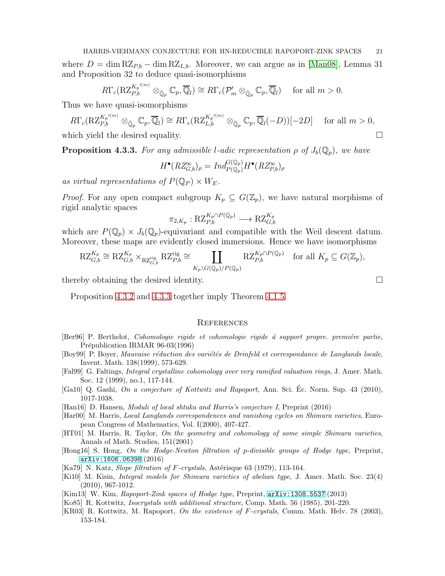where  $D = \dim RZ_{P,b} - \dim RZ_{L,b}$ . Moreover, we can argue as in [\[Man08\]](#page-21-4), Lemma 31 and Proposition 32 to deduce quasi-isomorphisms

$$
R\Gamma_c(\mathrm{RZ}_{P,b}^{K_p^{(m)}}\otimes_{\breve{\mathbb{Q}}_p}\mathbb{C}_p,\overline{\mathbb{Q}}_l)\cong R\Gamma_c(\mathcal{P}'_m\otimes_{\breve{\mathbb{Q}}_p}\mathbb{C}_p,\overline{\mathbb{Q}}_l)\quad\text{ for all }m>0.
$$

Thus we have quasi-isomorphisms

$$
R\Gamma_c(\mathrm{RZ}_{P,b}^{K_p/(m)}\otimes_{\breve{\mathbb{Q}}_p}\mathbb{C}_p,\overline{\mathbb{Q}}_l) \cong R\Gamma_c(\mathrm{RZ}_{L,b}^{K_p/(m)}\otimes_{\breve{\mathbb{Q}}_p}\mathbb{C}_p,\overline{\mathbb{Q}}_l(-D))[-2D] \quad \text{ for all } m > 0,
$$

which yield the desired equality.

<span id="page-20-14"></span>**Proposition 4.3.3.** For any admissible l-adic representation  $\rho$  of  $J_b(\mathbb{Q}_p)$ , we have

$$
H^{\bullet}(RZ_{G,b}^{\infty})_{\rho} = Ind_{P(\mathbb{Q}_p)}^{G(\mathbb{Q}_p)} H^{\bullet}(RZ_{P,b}^{\infty})_{\rho}
$$

as virtual representations of  $P(\mathbb{Q}_P) \times W_E$ .

*Proof.* For any open compact subgroup  $K_p \subseteq G(\mathbb{Z}_p)$ , we have natural morphisms of rigid analytic spaces

$$
\pi_{2,K_p}: \mathrm{RZ}_{P,b}^{K_p \cap P(\mathbb{Q}_p)} \longrightarrow \mathrm{RZ}_{G,b}^{K_p}
$$

which are  $P(\mathbb{Q}_p) \times J_b(\mathbb{Q}_p)$ -equivariant and compatible with the Weil descent datum. Moreover, these maps are evidently closed immersions. Hence we have isomorphisms

$$
R\mathcal{Z}_{G,b}^{K_p} \cong R\mathcal{Z}_{G,b}^{K_p} \times_{R\mathcal{Z}_{G,b}^{rig}} R\mathcal{Z}_{P,b}^{rig} \cong \coprod_{K_p \backslash G(\mathbb{Q}_p)/P(\mathbb{Q}_p)} R\mathcal{Z}_{P,b}^{K_p \cap P(\mathbb{Q}_p)} \text{ for all } K_p \subseteq G(\mathbb{Z}_p),
$$

thereby obtaining the desired identity.

Proposition [4.3.2](#page-19-0) and [4.3.3](#page-20-14) together imply Theorem [4.1.5.](#page-13-0)

#### <span id="page-20-0"></span>**REFERENCES**

- <span id="page-20-11"></span>[Ber96] P. Berthelot, *Cohomologie rigide et cohomologie rigide à support propre. première partie*, Prépublication IRMAR 96-03(1996)
- <span id="page-20-4"></span>[Boy99] P. Boyer, Mauvaise réduction des variétés de Drinfeld et correspondance de Langlands locale, Invent. Math. 138(1999), 573-629.
- <span id="page-20-10"></span>[Fal99] G. Faltings, Integral crystalline cohomology over very ramified valuation rings, J. Amer. Math. Soc. 12 (1999), no.1, 117-144.
- <span id="page-20-9"></span>[Ga10] Q. Gashi, On a conjecture of Kottwitz and Rapoport, Ann. Sci. Ec. Norm. Sup. 43 (2010), ´ 1017-1038.
- <span id="page-20-5"></span>[Han16] D. Hansen, *Moduli of local shtuka and Harris's conjecture I*, Preprint (2016)
- <span id="page-20-3"></span>[Har00] M. Harris, Local Langlands correspondences and vanishing cycles on Shimura varieties, European Congress of Mathematics, Vol. I(2000), 407-427.
- <span id="page-20-1"></span>[HT01] M. Harris, R. Taylor, On the geometry and cohomology of some simple Shimura varieties, Annals of Math. Studies, 151(2001)
- <span id="page-20-6"></span>[Hong16] S. Hong, On the Hodge-Newton filtration of p-divisible groups of Hodge type, Preprint, [arXiv:1606.06398](http://arxiv.org/abs/1606.06398) (2016)
- <span id="page-20-13"></span>[Ka79] N. Katz, *Slope filtration of F-crystals*, Astérisque 63 (1979), 113-164.
- <span id="page-20-7"></span>[Ki10] M. Kisin, Integral models for Shimura varieties of abelian type, J. Amer. Math. Soc. 23(4) (2010), 967-1012.
- <span id="page-20-2"></span>[Kim13] W. Kim, Rapoport-Zink spaces of Hodge type, Preprint, [arXiv:1308.5537](http://arxiv.org/abs/1308.5537) (2013)
- <span id="page-20-12"></span>[Ko85] R. Kottwitz, Isocrystals with additional structure, Comp. Math. 56 (1985), 201-220.
- <span id="page-20-8"></span>[KR03] R. Kottwitz, M. Rapoport, On the existence of F-crystals, Comm. Math. Helv. 78 (2003), 153-184.